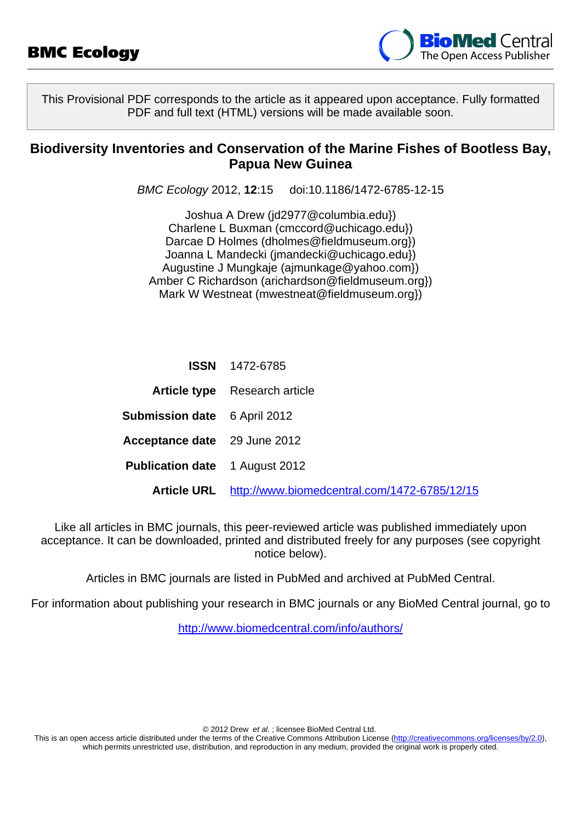

This Provisional PDF corresponds to the article as it appeared upon acceptance. Fully formatted PDF and full text (HTML) versions will be made available soon.

### **Biodiversity Inventories and Conservation of the Marine Fishes of Bootless Bay, Papua New Guinea**

BMC Ecology 2012, **12**:15 doi:10.1186/1472-6785-12-15

Joshua A Drew [\(jd2977@columbia.edu}\)](mailto:jd2977@columbia.edu}) Charlene L Buxman ([cmccord@uchicago.edu}\)](mailto:cmccord@uchicago.edu}) Darcae D Holmes ([dholmes@fieldmuseum.org}\)](mailto:dholmes@fieldmuseum.org}) Joanna L Mandecki ([jmandecki@uchicago.edu}](mailto:jmandecki@uchicago.edu})) Augustine J Mungkaje ([ajmunkage@yahoo.com}](mailto:ajmunkage@yahoo.com})) Amber C Richardson [\(arichardson@fieldmuseum.org}\)](mailto:arichardson@fieldmuseum.org}) Mark W Westneat ([mwestneat@fieldmuseum.org}](mailto:mwestneat@fieldmuseum.org}))

|                                       | <b>ISSN</b> 1472-6785                                    |
|---------------------------------------|----------------------------------------------------------|
|                                       | <b>Article type</b> Research article                     |
| <b>Submission date</b> 6 April 2012   |                                                          |
| Acceptance date 29 June 2012          |                                                          |
| <b>Publication date</b> 1 August 2012 |                                                          |
|                                       | Article URL http://www.biomedcentral.com/1472-6785/12/15 |

Like all articles in BMC journals, this peer-reviewed article was published immediately upon acceptance. It can be downloaded, printed and distributed freely for any purposes (see copyright notice below).

Articles in BMC journals are listed in PubMed and archived at PubMed Central.

For information about publishing your research in BMC journals or any BioMed Central journal, go to

<http://www.biomedcentral.com/info/authors/>

© 2012 Drew et al. ; licensee BioMed Central Ltd.

This is an open access article distributed under the terms of the Creative Commons Attribution License [\(http://creativecommons.org/licenses/by/2.0](http://creativecommons.org/licenses/by/2.0)), which permits unrestricted use, distribution, and reproduction in any medium, provided the original work is properly cited.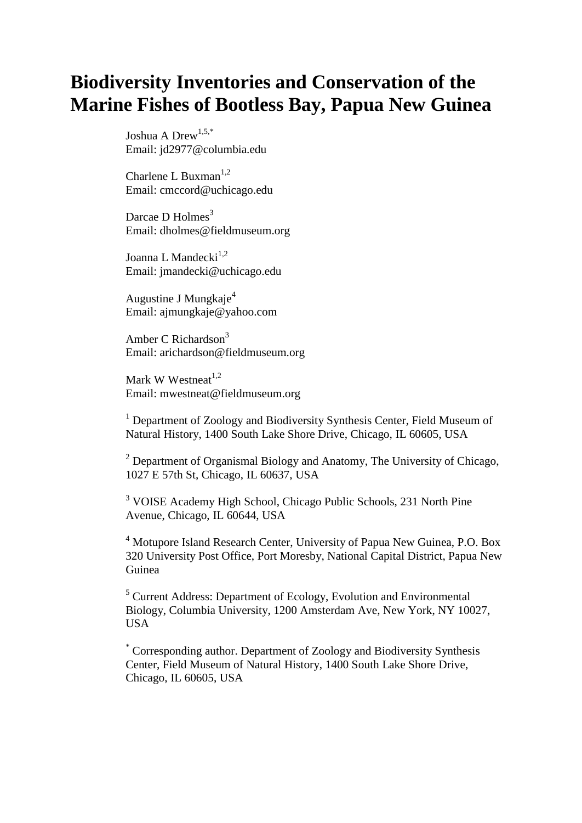# **Biodiversity Inventories and Conservation of the Marine Fishes of Bootless Bay, Papua New Guinea**

Joshua A Drew<sup>1,5,\*</sup> Email: jd2977@columbia.edu

Charlene L Buxman<sup>1,2</sup> Email: cmccord@uchicago.edu

Darcae D  $Holmes<sup>3</sup>$ Email: dholmes@fieldmuseum.org

Joanna L Mandecki<sup>1,2</sup> Email: jmandecki@uchicago.edu

Augustine J Mungkaje<sup>4</sup> Email: ajmungkaje@yahoo.com

Amber C Richardson $3$ Email: arichardson@fieldmuseum.org

Mark W Westneat $1,2$ Email: mwestneat@fieldmuseum.org

<sup>1</sup> Department of Zoology and Biodiversity Synthesis Center, Field Museum of Natural History, 1400 South Lake Shore Drive, Chicago, IL 60605, USA

<sup>2</sup> Department of Organismal Biology and Anatomy, The University of Chicago, 1027 E 57th St, Chicago, IL 60637, USA

<sup>3</sup> VOISE Academy High School, Chicago Public Schools, 231 North Pine Avenue, Chicago, IL 60644, USA

<sup>4</sup> Motupore Island Research Center, University of Papua New Guinea, P.O. Box 320 University Post Office, Port Moresby, National Capital District, Papua New Guinea

<sup>5</sup> Current Address: Department of Ecology, Evolution and Environmental Biology, Columbia University, 1200 Amsterdam Ave, New York, NY 10027, USA

\* Corresponding author. Department of Zoology and Biodiversity Synthesis Center, Field Museum of Natural History, 1400 South Lake Shore Drive, Chicago, IL 60605, USA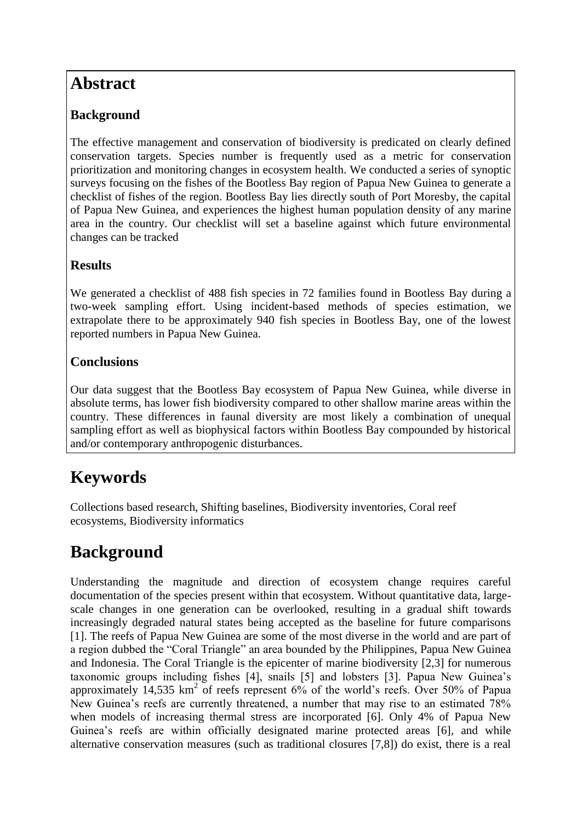## **Abstract**

### **Background**

The effective management and conservation of biodiversity is predicated on clearly defined conservation targets. Species number is frequently used as a metric for conservation prioritization and monitoring changes in ecosystem health. We conducted a series of synoptic surveys focusing on the fishes of the Bootless Bay region of Papua New Guinea to generate a checklist of fishes of the region. Bootless Bay lies directly south of Port Moresby, the capital of Papua New Guinea, and experiences the highest human population density of any marine area in the country. Our checklist will set a baseline against which future environmental changes can be tracked

### **Results**

We generated a checklist of 488 fish species in 72 families found in Bootless Bay during a two-week sampling effort. Using incident-based methods of species estimation, we extrapolate there to be approximately 940 fish species in Bootless Bay, one of the lowest reported numbers in Papua New Guinea.

### **Conclusions**

Our data suggest that the Bootless Bay ecosystem of Papua New Guinea, while diverse in absolute terms, has lower fish biodiversity compared to other shallow marine areas within the country. These differences in faunal diversity are most likely a combination of unequal sampling effort as well as biophysical factors within Bootless Bay compounded by historical and/or contemporary anthropogenic disturbances.

# **Keywords**

Collections based research, Shifting baselines, Biodiversity inventories, Coral reef ecosystems, Biodiversity informatics

# **Background**

Understanding the magnitude and direction of ecosystem change requires careful documentation of the species present within that ecosystem. Without quantitative data, largescale changes in one generation can be overlooked, resulting in a gradual shift towards increasingly degraded natural states being accepted as the baseline for future comparisons [1]. The reefs of Papua New Guinea are some of the most diverse in the world and are part of a region dubbed the "Coral Triangle" an area bounded by the Philippines, Papua New Guinea and Indonesia. The Coral Triangle is the epicenter of marine biodiversity [2,3] for numerous taxonomic groups including fishes [4], snails [5] and lobsters [3]. Papua New Guinea's approximately  $14,535$  km<sup>2</sup> of reefs represent  $6\%$  of the world's reefs. Over 50% of Papua New Guinea's reefs are currently threatened, a number that may rise to an estimated 78% when models of increasing thermal stress are incorporated [6]. Only 4% of Papua New Guinea's reefs are within officially designated marine protected areas [6], and while alternative conservation measures (such as traditional closures [7,8]) do exist, there is a real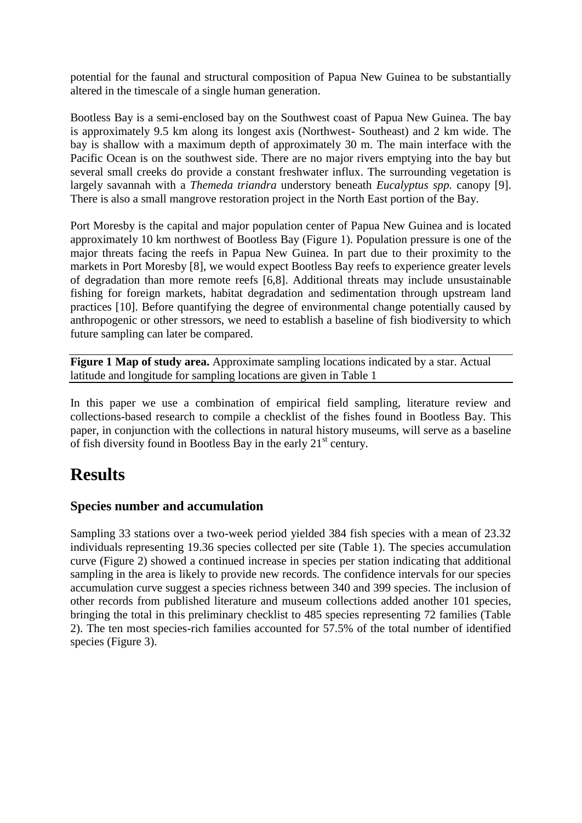potential for the faunal and structural composition of Papua New Guinea to be substantially altered in the timescale of a single human generation.

Bootless Bay is a semi-enclosed bay on the Southwest coast of Papua New Guinea. The bay is approximately 9.5 km along its longest axis (Northwest- Southeast) and 2 km wide. The bay is shallow with a maximum depth of approximately 30 m. The main interface with the Pacific Ocean is on the southwest side. There are no major rivers emptying into the bay but several small creeks do provide a constant freshwater influx. The surrounding vegetation is largely savannah with a *Themeda triandra* understory beneath *Eucalyptus spp.* canopy [9]. There is also a small mangrove restoration project in the North East portion of the Bay.

Port Moresby is the capital and major population center of Papua New Guinea and is located approximately 10 km northwest of Bootless Bay (Figure 1). Population pressure is one of the major threats facing the reefs in Papua New Guinea. In part due to their proximity to the markets in Port Moresby [8], we would expect Bootless Bay reefs to experience greater levels of degradation than more remote reefs [6,8]. Additional threats may include unsustainable fishing for foreign markets, habitat degradation and sedimentation through upstream land practices [10]. Before quantifying the degree of environmental change potentially caused by anthropogenic or other stressors, we need to establish a baseline of fish biodiversity to which future sampling can later be compared.

**Figure 1 Map of study area.** Approximate sampling locations indicated by a star. Actual latitude and longitude for sampling locations are given in Table 1

In this paper we use a combination of empirical field sampling, literature review and collections-based research to compile a checklist of the fishes found in Bootless Bay. This paper, in conjunction with the collections in natural history museums, will serve as a baseline of fish diversity found in Bootless Bay in the early  $21<sup>st</sup>$  century.

# **Results**

#### **Species number and accumulation**

Sampling 33 stations over a two-week period yielded 384 fish species with a mean of 23.32 individuals representing 19.36 species collected per site (Table 1). The species accumulation curve (Figure 2) showed a continued increase in species per station indicating that additional sampling in the area is likely to provide new records. The confidence intervals for our species accumulation curve suggest a species richness between 340 and 399 species. The inclusion of other records from published literature and museum collections added another 101 species, bringing the total in this preliminary checklist to 485 species representing 72 families (Table 2). The ten most species-rich families accounted for 57.5% of the total number of identified species (Figure 3).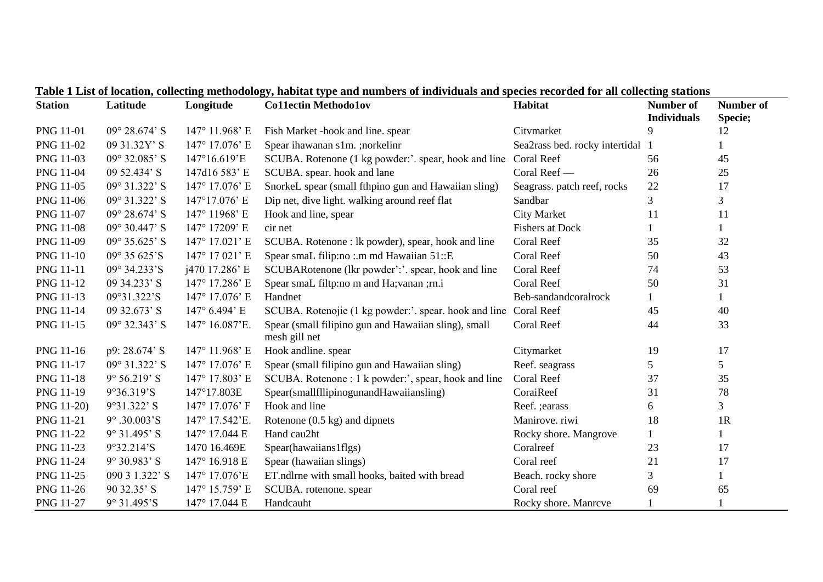| <b>Station</b>   | Latitude                | Longitude      | <b>Collectin Methodolov</b>                                           | Habitat                        | <b>Number of</b><br><b>Individuals</b> | <b>Number of</b><br>Specie; |
|------------------|-------------------------|----------------|-----------------------------------------------------------------------|--------------------------------|----------------------------------------|-----------------------------|
| <b>PNG 11-01</b> | $09^{\circ} 28.674$ ' S | 147° 11.968' E | Fish Market -hook and line. spear                                     | Citvmarket                     | 9                                      | 12                          |
| PNG 11-02        | 09 31.32Y'S             | 147° 17.076' E | Spear ihawanan s1m. ;norkelinr                                        | Sea2rass bed. rocky intertidal |                                        |                             |
| PNG 11-03        | 09° 32.085' S           | 147°16.619'E   | SCUBA. Rotenone (1 kg powder:'. spear, hook and line                  | Coral Reef                     | 56                                     | 45                          |
| PNG 11-04        | 09 52.434' S            | 147d16 583' E  | SCUBA. spear. hook and lane                                           | Coral Reef -                   | 26                                     | 25                          |
| PNG 11-05        | 09° 31.322' S           | 147° 17.076' E | SnorkeL spear (small fthpino gun and Hawaiian sling)                  | Seagrass. patch reef, rocks    | 22                                     | 17                          |
| PNG 11-06        | 09° 31.322' S           | 147°17.076' E  | Dip net, dive light. walking around reef flat                         | Sandbar                        | 3                                      | 3                           |
| PNG 11-07        | $09^{\circ} 28.674$ ' S | 147° 11968' E  | Hook and line, spear                                                  | <b>City Market</b>             | 11                                     | 11                          |
| <b>PNG 11-08</b> | 09° 30.447' S           | 147° 17209' E  | cir net                                                               | <b>Fishers at Dock</b>         |                                        | 1                           |
| PNG 11-09        | $09^{\circ}$ 35.625' S  | 147° 17.021' E | SCUBA. Rotenone : lk powder), spear, hook and line                    | Coral Reef                     | 35                                     | 32                          |
| <b>PNG 11-10</b> | 09° 35 625'S            | 147° 17 021' E | Spear small filip:no :.m md Hawaiian 51::E                            | Coral Reef                     | 50                                     | 43                          |
| PNG 11-11        | 09° 34.233'S            | j470 17.286' E | SCUBARotenone (lkr powder':'. spear, hook and line                    | Coral Reef                     | 74                                     | 53                          |
| PNG 11-12        | 09 34.233' S            | 147° 17.286' E | Spear smal filtp:no m and Ha; vanan ; rn.i                            | Coral Reef                     | 50                                     | 31                          |
| PNG 11-13        | 09°31.322'S             | 147° 17.076' E | Handnet                                                               | Beb-sandandcoralrock           |                                        | 1                           |
| PNG 11-14        | 09 32.673' S            | 147° 6.494' E  | SCUBA. Rotenojie (1 kg powder:'. spear. hook and line                 | Coral Reef                     | 45                                     | 40                          |
| PNG 11-15        | 09° 32.343' S           | 147° 16.087'E. | Spear (small filipino gun and Hawaiian sling), small<br>mesh gill net | Coral Reef                     | 44                                     | 33                          |
| PNG 11-16        | p9: 28.674' S           | 147° 11.968' E | Hook andline. spear                                                   | Citymarket                     | 19                                     | 17                          |
| <b>PNG 11-17</b> | 09° 31.322' S           | 147° 17.076' E | Spear (small filipino gun and Hawaiian sling)                         | Reef. seagrass                 | 5                                      | 5                           |
| <b>PNG 11-18</b> | $9^{\circ} 56.219$ ' S  | 147° 17.803' E | SCUBA. Rotenone : 1 k powder:', spear, hook and line                  | <b>Coral Reef</b>              | 37                                     | 35                          |
| PNG 11-19        | 9°36.319'S              | 147°17.803E    | Spear(smallfllipinogunandHawaiiansling)                               | CoraiReef                      | 31                                     | 78                          |
| PNG 11-20)       | $9°31.322'$ S           | 147° 17.076' F | Hook and line                                                         | Reef. ; earass                 | 6                                      | 3                           |
| PNG 11-21        | 9° .30.003'S            | 147° 17.542'E. | Rotenone $(0.5 \text{ kg})$ and dipnets                               | Manirove. riwi                 | 18                                     | 1R                          |
| <b>PNG 11-22</b> | 9° 31.495' S            | 147° 17.044 E  | Hand cau2ht                                                           | Rocky shore. Mangrove          |                                        |                             |
| PNG 11-23        | 9°32.214'S              | 1470 16.469E   | Spear(hawaiians1flgs)                                                 | Coralreef                      | 23                                     | 17                          |
| PNG 11-24        | $9^{\circ}$ 30.983' S   | 147° 16.918 E  | Spear (hawaiian slings)                                               | Coral reef                     | 21                                     | 17                          |
| PNG 11-25        | 090 3 1.322' S          | 147° 17.076'E  | ET.ndlrne with small hooks, baited with bread                         | Beach. rocky shore             | $\overline{3}$                         | 1                           |
| PNG 11-26        | 90 32.35' S             | 147° 15.759' E | SCUBA. rotenone. spear                                                | Coral reef                     | 69                                     | 65                          |
| <b>PNG 11-27</b> | 9° 31.495'S             | 147° 17.044 E  | Handcauht                                                             | Rocky shore. Manrcve           |                                        |                             |

**Table 1 List of location, collecting methodology, habitat type and numbers of individuals and species recorded for all collecting stations**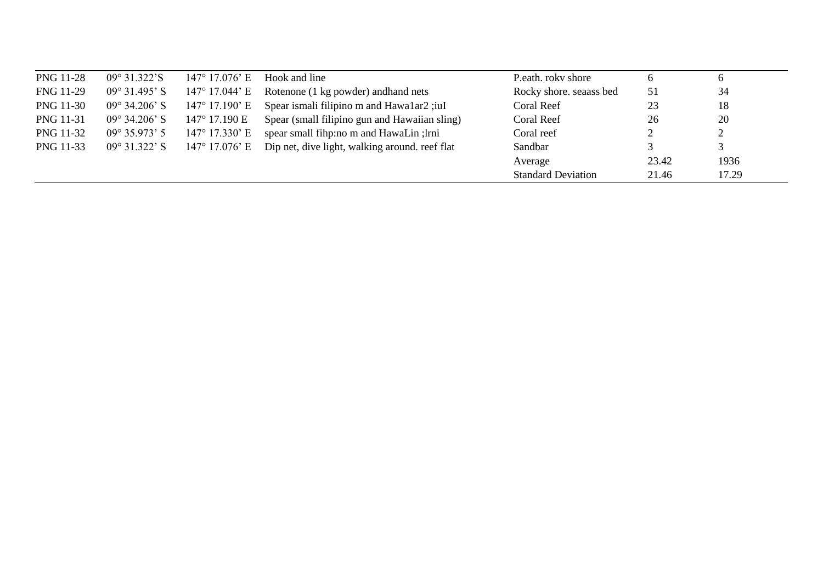| <b>PNG 11-28</b> | $09^{\circ}$ 31.322'S  | $147^{\circ}$ 17.076' E | Hook and line                                  | P.eath. roky shore        | 6     | $\mathbf b$ |  |
|------------------|------------------------|-------------------------|------------------------------------------------|---------------------------|-------|-------------|--|
| FNG 11-29        | $09^{\circ}$ 31.495' S | 147° 17.044' E          | Rotenone (1 kg powder) and hand nets           | Rocky shore, seaass bed   | 51    | 34          |  |
| PNG 11-30        | $09^{\circ}$ 34.206' S | $147^{\circ}$ 17.190' E | Spear ismali filipino m and Hawa1ar2; iuI      | Coral Reef                | 23    | 18          |  |
| PNG 11-31        | $09^{\circ}$ 34.206' S | 147° 17.190 E           | Spear (small filipino gun and Hawaiian sling)  | Coral Reef                | 26    | 20          |  |
| PNG 11-32        | $09^{\circ}$ 35.973' 5 | $147^{\circ}$ 17.330' E | spear small fihp:no m and HawaLin; lrni        | Coral reef                |       | $\bigcap$   |  |
| PNG 11-33        | $09^{\circ}$ 31.322' S | 147° 17.076' E          | Dip net, dive light, walking around. reef flat | Sandbar                   |       |             |  |
|                  |                        |                         |                                                | Average                   | 23.42 | 1936        |  |
|                  |                        |                         |                                                | <b>Standard Deviation</b> | 21.46 | 17.29       |  |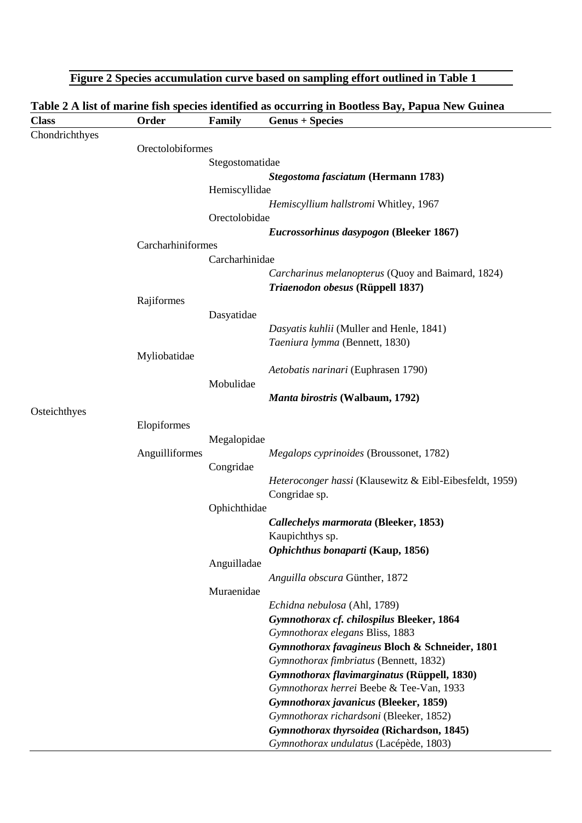|                |                   |                 | Figure 2 Species accumulation curve based on sampling effort outlined in Table 1                |
|----------------|-------------------|-----------------|-------------------------------------------------------------------------------------------------|
|                |                   |                 | Table 2 A list of marine fish species identified as occurring in Bootless Bay, Papua New Guinea |
| <b>Class</b>   | Order             | <b>Family</b>   | <b>Genus + Species</b>                                                                          |
| Chondrichthyes |                   |                 |                                                                                                 |
|                | Orectolobiformes  |                 |                                                                                                 |
|                |                   | Stegostomatidae |                                                                                                 |
|                |                   |                 | Stegostoma fasciatum (Hermann 1783)                                                             |
|                |                   | Hemiscyllidae   | Hemiscyllium hallstromi Whitley, 1967                                                           |
|                |                   | Orectolobidae   |                                                                                                 |
|                |                   |                 | Eucrossorhinus dasypogon (Bleeker 1867)                                                         |
|                | Carcharhiniformes |                 |                                                                                                 |
|                |                   | Carcharhinidae  |                                                                                                 |
|                |                   |                 | Carcharinus melanopterus (Quoy and Baimard, 1824)                                               |
|                |                   |                 | Triaenodon obesus (Rüppell 1837)                                                                |
|                | Rajiformes        |                 |                                                                                                 |
|                |                   | Dasyatidae      |                                                                                                 |
|                |                   |                 | Dasyatis kuhlii (Muller and Henle, 1841)                                                        |
|                |                   |                 | Taeniura lymma (Bennett, 1830)                                                                  |
|                | Myliobatidae      |                 |                                                                                                 |
|                |                   |                 | Aetobatis narinari (Euphrasen 1790)                                                             |
|                |                   | Mobulidae       |                                                                                                 |
|                |                   |                 | Manta birostris (Walbaum, 1792)                                                                 |
| Osteichthyes   |                   |                 |                                                                                                 |
|                | Elopiformes       |                 |                                                                                                 |
|                |                   | Megalopidae     |                                                                                                 |
|                | Anguilliformes    |                 | <i>Megalops cyprinoides</i> (Broussonet, 1782)                                                  |
|                |                   | Congridae       |                                                                                                 |
|                |                   |                 | Heteroconger hassi (Klausewitz & Eibl-Eibesfeldt, 1959)                                         |
|                |                   | Ophichthidae    | Congridae sp.                                                                                   |
|                |                   |                 | Callechelys marmorata (Bleeker, 1853)                                                           |
|                |                   |                 | Kaupichthys sp.                                                                                 |
|                |                   |                 | Ophichthus bonaparti (Kaup, 1856)                                                               |
|                |                   | Anguilladae     |                                                                                                 |
|                |                   |                 | Anguilla obscura Günther, 1872                                                                  |
|                |                   | Muraenidae      |                                                                                                 |
|                |                   |                 | Echidna nebulosa (Ahl, 1789)                                                                    |
|                |                   |                 | Gymnothorax cf. chilospilus Bleeker, 1864                                                       |
|                |                   |                 | Gymnothorax elegans Bliss, 1883                                                                 |
|                |                   |                 | Gymnothorax favagineus Bloch & Schneider, 1801                                                  |
|                |                   |                 | Gymnothorax fimbriatus (Bennett, 1832)                                                          |
|                |                   |                 | Gymnothorax flavimarginatus (Rüppell, 1830)                                                     |
|                |                   |                 | Gymnothorax herrei Beebe & Tee-Van, 1933                                                        |
|                |                   |                 | Gymnothorax javanicus (Bleeker, 1859)                                                           |
|                |                   |                 | Gymnothorax richardsoni (Bleeker, 1852)                                                         |
|                |                   |                 | Gymnothorax thyrsoidea (Richardson, 1845)                                                       |
|                |                   |                 | Gymnothorax undulatus (Lacépède, 1803)                                                          |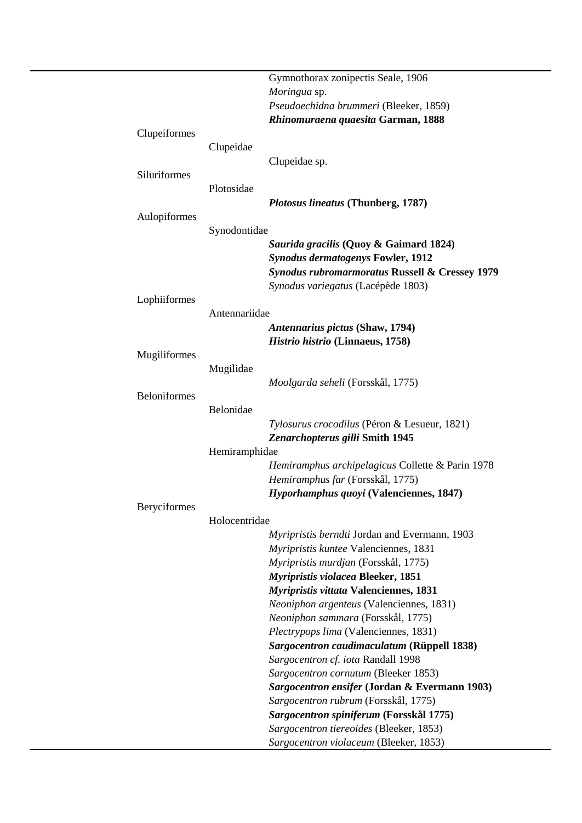|                     |               | Gymnothorax zonipectis Seale, 1906                                                   |
|---------------------|---------------|--------------------------------------------------------------------------------------|
|                     |               | Moringua sp.                                                                         |
|                     |               | Pseudoechidna brummeri (Bleeker, 1859)                                               |
|                     |               | Rhinomuraena quaesita Garman, 1888                                                   |
| Clupeiformes        |               |                                                                                      |
|                     | Clupeidae     |                                                                                      |
|                     |               | Clupeidae sp.                                                                        |
| Siluriformes        |               |                                                                                      |
|                     | Plotosidae    |                                                                                      |
|                     |               | Plotosus lineatus (Thunberg, 1787)                                                   |
| Aulopiformes        |               |                                                                                      |
|                     | Synodontidae  |                                                                                      |
|                     |               | Saurida gracilis (Quoy & Gaimard 1824)                                               |
|                     |               | <b>Synodus dermatogenys Fowler, 1912</b>                                             |
|                     |               | <b>Synodus rubromarmoratus Russell &amp; Cressey 1979</b>                            |
|                     |               | Synodus variegatus (Lacépède 1803)                                                   |
| Lophiiformes        |               |                                                                                      |
|                     | Antennariidae |                                                                                      |
|                     |               | Antennarius pictus (Shaw, 1794)                                                      |
|                     |               |                                                                                      |
| Mugiliformes        |               | Histrio histrio (Linnaeus, 1758)                                                     |
|                     | Mugilidae     |                                                                                      |
|                     |               | Moolgarda seheli (Forsskål, 1775)                                                    |
| <b>Beloniformes</b> |               |                                                                                      |
|                     | Belonidae     |                                                                                      |
|                     |               |                                                                                      |
|                     |               | Tylosurus crocodilus (Péron & Lesueur, 1821)                                         |
|                     |               | Zenarchopterus gilli Smith 1945                                                      |
|                     | Hemiramphidae |                                                                                      |
|                     |               | Hemiramphus archipelagicus Collette & Parin 1978<br>Hemiramphus far (Forsskål, 1775) |
|                     |               |                                                                                      |
|                     |               | Hyporhamphus quoyi (Valenciennes, 1847)                                              |
| Beryciformes        |               |                                                                                      |
|                     | Holocentridae |                                                                                      |
|                     |               | Myripristis berndti Jordan and Evermann, 1903                                        |
|                     |               | Myripristis kuntee Valenciennes, 1831                                                |
|                     |               | Myripristis murdjan (Forsskål, 1775)                                                 |
|                     |               | Myripristis violacea Bleeker, 1851                                                   |
|                     |               | <b>Myripristis vittata Valenciennes, 1831</b>                                        |
|                     |               | Neoniphon argenteus (Valenciennes, 1831)                                             |
|                     |               | Neoniphon sammara (Forsskål, 1775)                                                   |
|                     |               | Plectrypops lima (Valenciennes, 1831)                                                |
|                     |               | Sargocentron caudimaculatum (Rüppell 1838)                                           |
|                     |               | Sargocentron cf. iota Randall 1998                                                   |
|                     |               | Sargocentron cornutum (Bleeker 1853)                                                 |
|                     |               | Sargocentron ensifer (Jordan & Evermann 1903)                                        |
|                     |               | Sargocentron rubrum (Forsskål, 1775)                                                 |
|                     |               | Sargocentron spiniferum (Forsskål 1775)                                              |
|                     |               | Sargocentron tiereoides (Bleeker, 1853)                                              |
|                     |               | Sargocentron violaceum (Bleeker, 1853)                                               |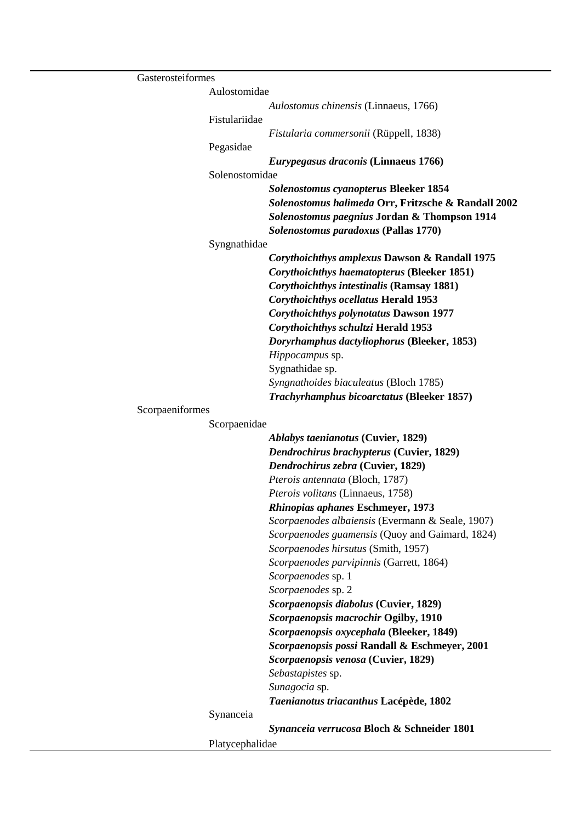| Gasterosteiformes |                 |                                                                                                                                                                                                 |
|-------------------|-----------------|-------------------------------------------------------------------------------------------------------------------------------------------------------------------------------------------------|
|                   | Aulostomidae    |                                                                                                                                                                                                 |
|                   |                 | Aulostomus chinensis (Linnaeus, 1766)                                                                                                                                                           |
|                   | Fistulariidae   |                                                                                                                                                                                                 |
|                   |                 | Fistularia commersonii (Rüppell, 1838)                                                                                                                                                          |
|                   | Pegasidae       |                                                                                                                                                                                                 |
|                   |                 | <i>Eurypegasus draconis</i> (Linnaeus 1766)                                                                                                                                                     |
|                   | Solenostomidae  |                                                                                                                                                                                                 |
|                   |                 | <b>Solenostomus cyanopterus Bleeker 1854</b><br>Solenostomus halimeda Orr, Fritzsche & Randall 2002<br>Solenostomus paegnius Jordan & Thompson 1914<br>Solenostomus paradoxus (Pallas 1770)     |
|                   | Syngnathidae    |                                                                                                                                                                                                 |
|                   |                 | Corythoichthys amplexus Dawson & Randall 1975<br><b>Corythoichthys haematopterus (Bleeker 1851)</b><br>Corythoichthys intestinalis (Ramsay 1881)<br><b>Corythoichthys ocellatus Herald 1953</b> |
|                   |                 | <b>Corythoichthys polynotatus Dawson 1977</b>                                                                                                                                                   |
|                   |                 | Corythoichthys schultzi Herald 1953                                                                                                                                                             |
|                   |                 | Doryrhamphus dactyliophorus (Bleeker, 1853)                                                                                                                                                     |
|                   |                 | Hippocampus sp.                                                                                                                                                                                 |
|                   |                 | Sygnathidae sp.                                                                                                                                                                                 |
|                   |                 | Syngnathoides biaculeatus (Bloch 1785)                                                                                                                                                          |
|                   |                 | Trachyrhamphus bicoarctatus (Bleeker 1857)                                                                                                                                                      |
| Scorpaeniformes   |                 |                                                                                                                                                                                                 |
|                   | Scorpaenidae    |                                                                                                                                                                                                 |
|                   |                 | <b>Ablabys taenianotus (Cuvier, 1829)</b>                                                                                                                                                       |
|                   |                 | Dendrochirus brachypterus (Cuvier, 1829)                                                                                                                                                        |
|                   |                 | Dendrochirus zebra (Cuvier, 1829)                                                                                                                                                               |
|                   |                 | Pterois antennata (Bloch, 1787)                                                                                                                                                                 |
|                   |                 | Pterois volitans (Linnaeus, 1758)                                                                                                                                                               |
|                   |                 | Rhinopias aphanes Eschmeyer, 1973                                                                                                                                                               |
|                   |                 | Scorpaenodes albaiensis (Evermann & Seale, 1907)                                                                                                                                                |
|                   |                 | Scorpaenodes guamensis (Quoy and Gaimard, 1824)                                                                                                                                                 |
|                   |                 | Scorpaenodes hirsutus (Smith, 1957)                                                                                                                                                             |
|                   |                 | Scorpaenodes parvipinnis (Garrett, 1864)                                                                                                                                                        |
|                   |                 | Scorpaenodes sp. 1                                                                                                                                                                              |
|                   |                 | Scorpaenodes sp. 2                                                                                                                                                                              |
|                   |                 | Scorpaenopsis diabolus (Cuvier, 1829)                                                                                                                                                           |
|                   |                 | Scorpaenopsis macrochir Ogilby, 1910                                                                                                                                                            |
|                   |                 | Scorpaenopsis oxycephala (Bleeker, 1849)                                                                                                                                                        |
|                   |                 | Scorpaenopsis possi Randall & Eschmeyer, 2001                                                                                                                                                   |
|                   |                 | Scorpaenopsis venosa (Cuvier, 1829)                                                                                                                                                             |
|                   |                 | Sebastapistes sp.                                                                                                                                                                               |
|                   |                 | Sunagocia sp.                                                                                                                                                                                   |
|                   |                 | Taenianotus triacanthus Lacépède, 1802                                                                                                                                                          |
|                   | Synanceia       |                                                                                                                                                                                                 |
|                   |                 | Synanceia verrucosa Bloch & Schneider 1801                                                                                                                                                      |
|                   | Platycephalidae |                                                                                                                                                                                                 |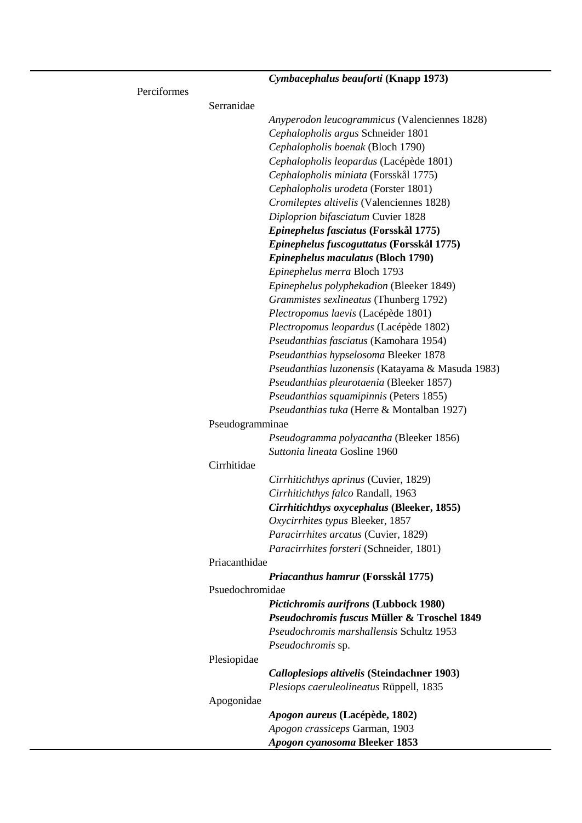|               | Cymbacephalus beauforti (Knapp 1973)               |
|---------------|----------------------------------------------------|
| Perciformes   |                                                    |
| Serranidae    |                                                    |
|               | Anyperodon leucogrammicus (Valenciennes 1828)      |
|               | Cephalopholis argus Schneider 1801                 |
|               | Cephalopholis boenak (Bloch 1790)                  |
|               | Cephalopholis leopardus (Lacépède 1801)            |
|               | Cephalopholis miniata (Forsskål 1775)              |
|               | Cephalopholis urodeta (Forster 1801)               |
|               | Cromileptes altivelis (Valenciennes 1828)          |
|               | Diploprion bifasciatum Cuvier 1828                 |
|               | Epinephelus fasciatus (Forsskål 1775)              |
|               | Epinephelus fuscoguttatus (Forsskål 1775)          |
|               | Epinephelus maculatus (Bloch 1790)                 |
|               | Epinephelus merra Bloch 1793                       |
|               | Epinephelus polyphekadion (Bleeker 1849)           |
|               | Grammistes sexlineatus (Thunberg 1792)             |
|               | Plectropomus laevis (Lacépède 1801)                |
|               | Plectropomus leopardus (Lacépède 1802)             |
|               | Pseudanthias fasciatus (Kamohara 1954)             |
|               | Pseudanthias hypselosoma Bleeker 1878              |
|               | Pseudanthias luzonensis (Katayama & Masuda 1983)   |
|               | Pseudanthias pleurotaenia (Bleeker 1857)           |
|               | Pseudanthias squamipinnis (Peters 1855)            |
|               | Pseudanthias tuka (Herre & Montalban 1927)         |
|               | Pseudogramminae                                    |
|               | Pseudogramma polyacantha (Bleeker 1856)            |
|               | Suttonia lineata Gosline 1960                      |
| Cirrhitidae   |                                                    |
|               | Cirrhitichthys aprinus (Cuvier, 1829)              |
|               | Cirrhitichthys falco Randall, 1963                 |
|               | <b>Cirrhitichthys oxycephalus (Bleeker, 1855)</b>  |
|               | Oxycirrhites typus Bleeker, 1857                   |
|               | Paracirrhites arcatus (Cuvier, 1829)               |
|               | Paracirrhites forsteri (Schneider, 1801)           |
| Priacanthidae |                                                    |
|               | Priacanthus hamrur (Forsskål 1775)                 |
|               | Psuedochromidae                                    |
|               | Pictichromis aurifrons (Lubbock 1980)              |
|               | Pseudochromis fuscus Müller & Troschel 1849        |
|               | Pseudochromis marshallensis Schultz 1953           |
|               | Pseudochromis sp.                                  |
| Plesiopidae   |                                                    |
|               | <b>Calloplesiops altivelis (Steindachner 1903)</b> |
|               | Plesiops caeruleolineatus Rüppell, 1835            |
| Apogonidae    |                                                    |
|               | Apogon aureus (Lacépède, 1802)                     |
|               | Apogon crassiceps Garman, 1903                     |
|               | Apogon cyanosoma Bleeker 1853                      |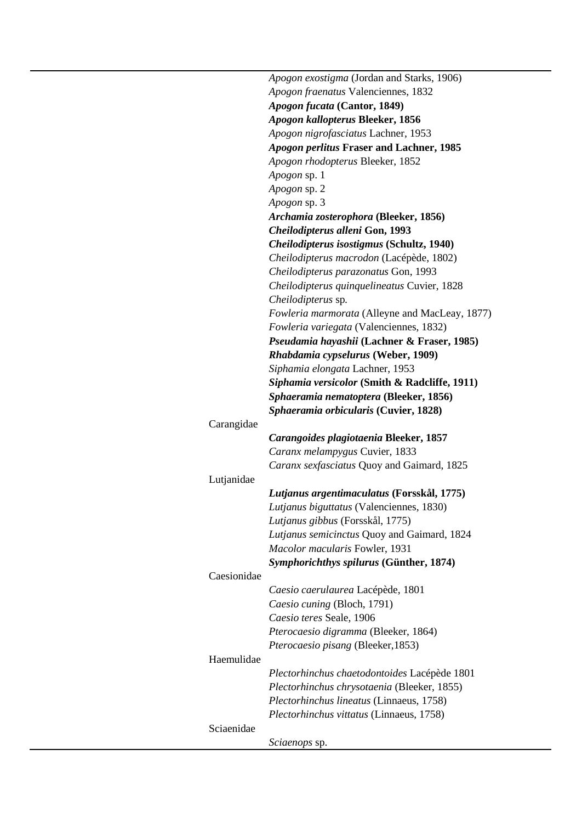|             | Apogon exostigma (Jordan and Starks, 1906)     |
|-------------|------------------------------------------------|
|             | Apogon fraenatus Valenciennes, 1832            |
|             | Apogon fucata (Cantor, 1849)                   |
|             | Apogon kallopterus Bleeker, 1856               |
|             | Apogon nigrofasciatus Lachner, 1953            |
|             | Apogon perlitus Fraser and Lachner, 1985       |
|             | Apogon rhodopterus Bleeker, 1852               |
|             | <i>Apogon</i> sp. 1                            |
|             | Apogon sp. 2                                   |
|             | <i>Apogon</i> sp. 3                            |
|             | Archamia zosterophora (Bleeker, 1856)          |
|             | Cheilodipterus alleni Gon, 1993                |
|             | Cheilodipterus isostigmus (Schultz, 1940)      |
|             | Cheilodipterus macrodon (Lacépède, 1802)       |
|             | Cheilodipterus parazonatus Gon, 1993           |
|             | Cheilodipterus quinquelineatus Cuvier, 1828    |
|             | Cheilodipterus sp.                             |
|             | Fowleria marmorata (Alleyne and MacLeay, 1877) |
|             | Fowleria variegata (Valenciennes, 1832)        |
|             | Pseudamia hayashii (Lachner & Fraser, 1985)    |
|             | Rhabdamia cypselurus (Weber, 1909)             |
|             | Siphamia elongata Lachner, 1953                |
|             | Siphamia versicolor (Smith & Radcliffe, 1911)  |
|             | Sphaeramia nematoptera (Bleeker, 1856)         |
|             | Sphaeramia orbicularis (Cuvier, 1828)          |
| Carangidae  |                                                |
|             | Carangoides plagiotaenia Bleeker, 1857         |
|             | Caranx melampygus Cuvier, 1833                 |
|             | Caranx sexfasciatus Quoy and Gaimard, 1825     |
| Lutjanidae  |                                                |
|             | Lutjanus argentimaculatus (Forsskål, 1775)     |
|             | Lutjanus biguttatus (Valenciennes, 1830)       |
|             | Lutjanus gibbus (Forsskål, 1775)               |
|             | Lutjanus semicinctus Quoy and Gaimard, 1824    |
|             | Macolor macularis Fowler, 1931                 |
|             | Symphorichthys spilurus (Günther, 1874)        |
| Caesionidae |                                                |
|             | Caesio caerulaurea Lacépède, 1801              |
|             | Caesio cuning (Bloch, 1791)                    |
|             | Caesio teres Seale, 1906                       |
|             | Pterocaesio digramma (Bleeker, 1864)           |
|             | Pterocaesio pisang (Bleeker, 1853)             |
| Haemulidae  |                                                |
|             | Plectorhinchus chaetodontoides Lacépède 1801   |
|             | Plectorhinchus chrysotaenia (Bleeker, 1855)    |
|             | Plectorhinchus lineatus (Linnaeus, 1758)       |
|             |                                                |
| Sciaenidae  | Plectorhinchus vittatus (Linnaeus, 1758)       |
|             |                                                |
|             | Sciaenops sp.                                  |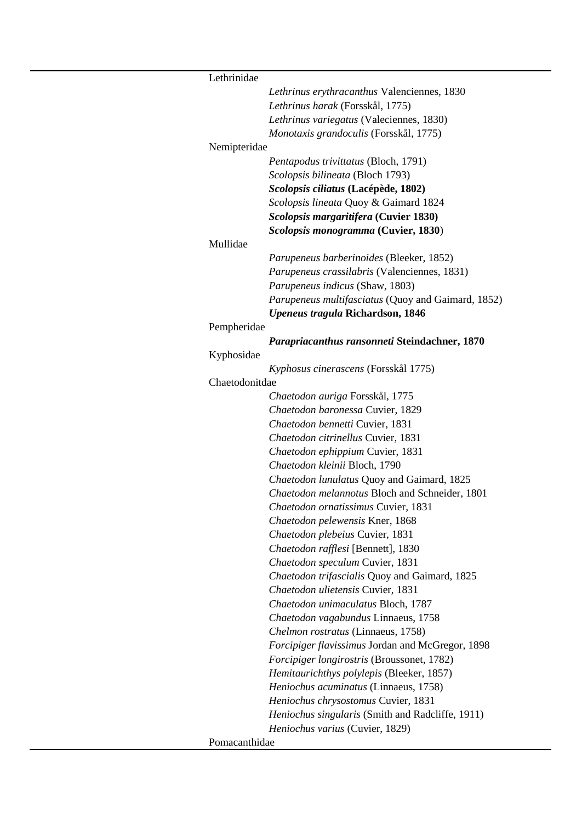| Lethrinidae    |                                                    |
|----------------|----------------------------------------------------|
|                | Lethrinus erythracanthus Valenciennes, 1830        |
|                | Lethrinus harak (Forsskål, 1775)                   |
|                | Lethrinus variegatus (Valeciennes, 1830)           |
|                | Monotaxis grandoculis (Forsskål, 1775)             |
| Nemipteridae   |                                                    |
|                | Pentapodus trivittatus (Bloch, 1791)               |
|                | Scolopsis bilineata (Bloch 1793)                   |
|                | Scolopsis ciliatus (Lacépède, 1802)                |
|                | Scolopsis lineata Quoy & Gaimard 1824              |
|                | Scolopsis margaritifera (Cuvier 1830)              |
|                | Scolopsis monogramma (Cuvier, 1830)                |
| Mullidae       |                                                    |
|                | Parupeneus barberinoides (Bleeker, 1852)           |
|                | Parupeneus crassilabris (Valenciennes, 1831)       |
|                | Parupeneus indicus (Shaw, 1803)                    |
|                | Parupeneus multifasciatus (Quoy and Gaimard, 1852) |
|                | <b>Upeneus tragula Richardson, 1846</b>            |
| Pempheridae    |                                                    |
|                | Parapriacanthus ransonneti Steindachner, 1870      |
| Kyphosidae     |                                                    |
|                | Kyphosus cinerascens (Forsskål 1775)               |
| Chaetodonitdae |                                                    |
|                | Chaetodon auriga Forsskål, 1775                    |
|                | Chaetodon baronessa Cuvier, 1829                   |
|                | Chaetodon bennetti Cuvier, 1831                    |
|                | Chaetodon citrinellus Cuvier, 1831                 |
|                | Chaetodon ephippium Cuvier, 1831                   |
|                | Chaetodon kleinii Bloch, 1790                      |
|                | Chaetodon lunulatus Quoy and Gaimard, 1825         |
|                | Chaetodon melannotus Bloch and Schneider, 1801     |
|                | Chaetodon ornatissimus Cuvier, 1831                |
|                | Chaetodon pelewensis Kner, 1868                    |
|                | Chaetodon plebeius Cuvier, 1831                    |
|                | Chaetodon rafflesi [Bennett], 1830                 |
|                | Chaetodon speculum Cuvier, 1831                    |
|                | Chaetodon trifascialis Quoy and Gaimard, 1825      |
|                | Chaetodon ulietensis Cuvier, 1831                  |
|                | Chaetodon unimaculatus Bloch, 1787                 |
|                | Chaetodon vagabundus Linnaeus, 1758                |
|                | Chelmon rostratus (Linnaeus, 1758)                 |
|                | Forcipiger flavissimus Jordan and McGregor, 1898   |
|                | Forcipiger longirostris (Broussonet, 1782)         |
|                | Hemitaurichthys polylepis (Bleeker, 1857)          |
|                | Heniochus acuminatus (Linnaeus, 1758)              |
|                | Heniochus chrysostomus Cuvier, 1831                |
|                | Heniochus singularis (Smith and Radcliffe, 1911)   |
|                | Heniochus varius (Cuvier, 1829)                    |
| Pomacanthidae  |                                                    |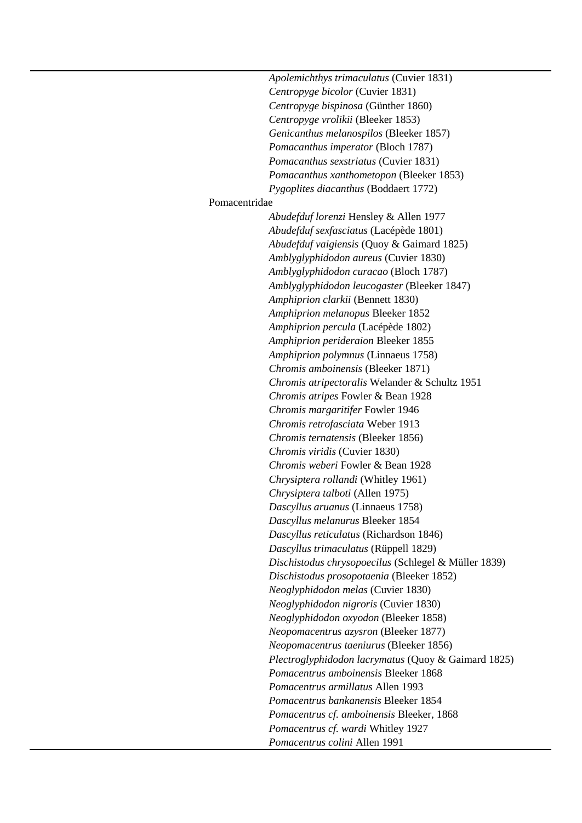*Apolemichthys trimaculatus* (Cuvier 1831) *Centropyge bicolor* (Cuvier 1831) *Centropyge bispinosa* (Günther 1860) *Centropyge vrolikii* (Bleeker 1853) *Genicanthus melanospilos* (Bleeker 1857) *Pomacanthus imperator* (Bloch 1787) *Pomacanthus sexstriatus* (Cuvier 1831) *Pomacanthus xanthometopon* (Bleeker 1853) *Pygoplites diacanthus* (Boddaert 1772) Pomacentridae *Abudefduf lorenzi* Hensley & Allen 1977 *Abudefduf sexfasciatus* (Lacépède 1801) *Abudefduf vaigiensis* (Quoy & Gaimard 1825) *Amblyglyphidodon aureus* (Cuvier 1830) *Amblyglyphidodon curacao* (Bloch 1787) *Amblyglyphidodon leucogaster* (Bleeker 1847) *Amphiprion clarkii* (Bennett 1830) *Amphiprion melanopus* Bleeker 1852 *Amphiprion percula* (Lacépède 1802) *Amphiprion perideraion* Bleeker 1855 *Amphiprion polymnus* (Linnaeus 1758) *Chromis amboinensis* (Bleeker 1871) *Chromis atripectoralis* Welander & Schultz 1951 *Chromis atripes* Fowler & Bean 1928 *Chromis margaritifer* Fowler 1946 *Chromis retrofasciata* Weber 1913 *Chromis ternatensis* (Bleeker 1856) *Chromis viridis* (Cuvier 1830) *Chromis weberi* Fowler & Bean 1928 *Chrysiptera rollandi* (Whitley 1961) *Chrysiptera talboti* (Allen 1975) *Dascyllus aruanus* (Linnaeus 1758) *Dascyllus melanurus* Bleeker 1854 *Dascyllus reticulatus* (Richardson 1846) *Dascyllus trimaculatus* (Rüppell 1829) *Dischistodus chrysopoecilus* (Schlegel & Müller 1839) *Dischistodus prosopotaenia* (Bleeker 1852) *Neoglyphidodon melas* (Cuvier 1830) *Neoglyphidodon nigroris* (Cuvier 1830) *Neoglyphidodon oxyodon* (Bleeker 1858) *Neopomacentrus azysron* (Bleeker 1877) *Neopomacentrus taeniurus* (Bleeker 1856) *Plectroglyphidodon lacrymatus* (Quoy & Gaimard 1825) *Pomacentrus amboinensis* Bleeker 1868 *Pomacentrus armillatus* Allen 1993 *Pomacentrus bankanensis* Bleeker 1854 *Pomacentrus cf. amboinensis* Bleeker, 1868 *Pomacentrus cf. wardi* Whitley 1927 *Pomacentrus colini* Allen 1991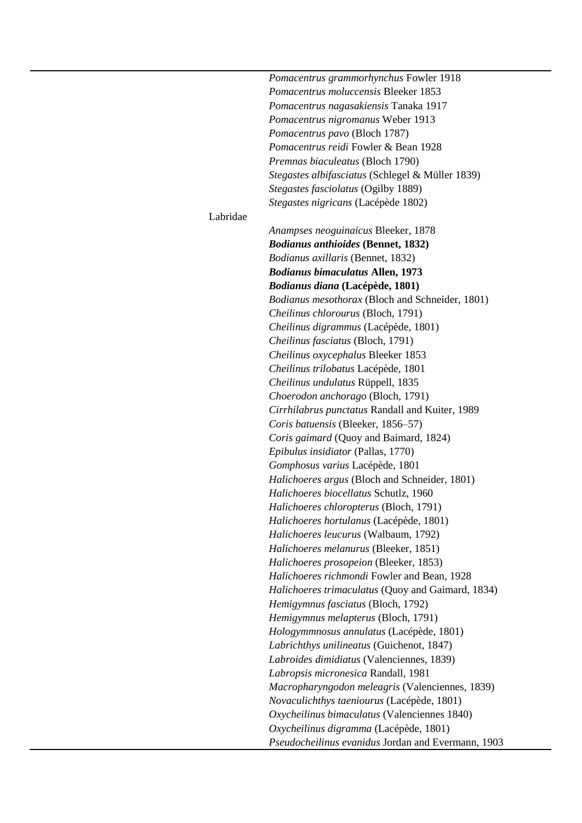|          | Pomacentrus grammorhynchus Fowler 1918             |
|----------|----------------------------------------------------|
|          | Pomacentrus moluccensis Bleeker 1853               |
|          | Pomacentrus nagasakiensis Tanaka 1917              |
|          | Pomacentrus nigromanus Weber 1913                  |
|          | Pomacentrus pavo (Bloch 1787)                      |
|          | Pomacentrus reidi Fowler & Bean 1928               |
|          | Premnas biaculeatus (Bloch 1790)                   |
|          | Stegastes albifasciatus (Schlegel & Müller 1839)   |
|          | Stegastes fasciolatus (Ogilby 1889)                |
|          | Stegastes nigricans (Lacépède 1802)                |
| Labridae |                                                    |
|          | Anampses neoguinaicus Bleeker, 1878                |
|          | <b>Bodianus anthioides (Bennet, 1832)</b>          |
|          | <i>Bodianus axillaris</i> (Bennet, 1832)           |
|          | <b>Bodianus bimaculatus Allen, 1973</b>            |
|          |                                                    |
|          | <i>Bodianus diana</i> (Lacépède, 1801)             |
|          | Bodianus mesothorax (Bloch and Schneider, 1801)    |
|          | Cheilinus chlorourus (Bloch, 1791)                 |
|          | Cheilinus digrammus (Lacépède, 1801)               |
|          | Cheilinus fasciatus (Bloch, 1791)                  |
|          | Cheilinus oxycephalus Bleeker 1853                 |
|          | Cheilinus trilobatus Lacépède, 1801                |
|          | Cheilinus undulatus Rüppell, 1835                  |
|          | Choerodon anchorago (Bloch, 1791)                  |
|          | Cirrhilabrus punctatus Randall and Kuiter, 1989    |
|          | Coris batuensis (Bleeker, 1856–57)                 |
|          | Coris gaimard (Quoy and Baimard, 1824)             |
|          | Epibulus insidiator (Pallas, 1770)                 |
|          | Gomphosus varius Lacépède, 1801                    |
|          | Halichoeres argus (Bloch and Schneider, 1801)      |
|          | Halichoeres biocellatus Schutlz, 1960              |
|          | Halichoeres chloropterus (Bloch, 1791)             |
|          | Halichoeres hortulanus (Lacépède, 1801)            |
|          | Halichoeres leucurus (Walbaum, 1792)               |
|          | Halichoeres melanurus (Bleeker, 1851)              |
|          | Halichoeres prosopeion (Bleeker, 1853)             |
|          | Halichoeres richmondi Fowler and Bean, 1928        |
|          | Halichoeres trimaculatus (Quoy and Gaimard, 1834)  |
|          | Hemigymnus fasciatus (Bloch, 1792)                 |
|          | Hemigymnus melapterus (Bloch, 1791)                |
|          | Hologymmnosus annulatus (Lacépède, 1801)           |
|          | Labrichthys unilineatus (Guichenot, 1847)          |
|          | Labroides dimidiatus (Valenciennes, 1839)          |
|          | Labropsis micronesica Randall, 1981                |
|          | Macropharyngodon meleagris (Valenciennes, 1839)    |
|          | Novaculichthys taeniourus (Lacépède, 1801)         |
|          | Oxycheilinus bimaculatus (Valenciennes 1840)       |
|          | Oxycheilinus digramma (Lacépède, 1801)             |
|          | Pseudocheilinus evanidus Jordan and Evermann, 1903 |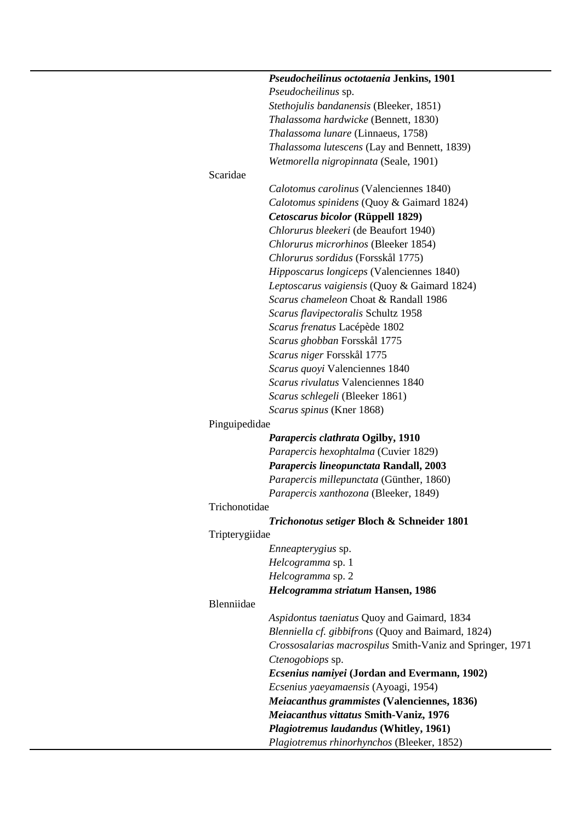|                | Pseudocheilinus octotaenia Jenkins, 1901                  |
|----------------|-----------------------------------------------------------|
|                | Pseudocheilinus sp.                                       |
|                | Stethojulis bandanensis (Bleeker, 1851)                   |
|                | Thalassoma hardwicke (Bennett, 1830)                      |
|                | Thalassoma lunare (Linnaeus, 1758)                        |
|                | Thalassoma lutescens (Lay and Bennett, 1839)              |
|                | Wetmorella nigropinnata (Seale, 1901)                     |
| Scaridae       |                                                           |
|                | Calotomus carolinus (Valenciennes 1840)                   |
|                | Calotomus spinidens (Quoy & Gaimard 1824)                 |
|                | Cetoscarus bicolor (Rüppell 1829)                         |
|                | Chlorurus bleekeri (de Beaufort 1940)                     |
|                | Chlorurus microrhinos (Bleeker 1854)                      |
|                | Chlorurus sordidus (Forsskål 1775)                        |
|                | Hipposcarus longiceps (Valenciennes 1840)                 |
|                |                                                           |
|                | Leptoscarus vaigiensis (Quoy & Gaimard 1824)              |
|                | Scarus chameleon Choat & Randall 1986                     |
|                | Scarus flavipectoralis Schultz 1958                       |
|                | Scarus frenatus Lacépède 1802                             |
|                | Scarus ghobban Forsskål 1775                              |
|                | Scarus niger Forsskål 1775                                |
|                | Scarus quoyi Valenciennes 1840                            |
|                | Scarus rivulatus Valenciennes 1840                        |
|                | Scarus schlegeli (Bleeker 1861)                           |
|                | Scarus spinus (Kner 1868)                                 |
| Pinguipedidae  |                                                           |
|                | Parapercis clathrata Ogilby, 1910                         |
|                | Parapercis hexophtalma (Cuvier 1829)                      |
|                | Parapercis lineopunctata Randall, 2003                    |
|                | Parapercis millepunctata (Günther, 1860)                  |
|                | Parapercis xanthozona (Bleeker, 1849)                     |
| Trichonotidae  |                                                           |
|                | <b>Trichonotus setiger Bloch &amp; Schneider 1801</b>     |
| Tripterygiidae |                                                           |
|                | <i>Enneapterygius</i> sp.                                 |
|                | Helcogramma sp. 1                                         |
|                | Helcogramma sp. 2                                         |
|                | Helcogramma striatum Hansen, 1986                         |
| Blenniidae     |                                                           |
|                | Aspidontus taeniatus Quoy and Gaimard, 1834               |
|                | Blenniella cf. gibbifrons (Quoy and Baimard, 1824)        |
|                | Crossosalarias macrospilus Smith-Vaniz and Springer, 1971 |
|                | Ctenogobiops sp.                                          |
|                |                                                           |
|                | <b>Ecsenius namiyei (Jordan and Evermann, 1902)</b>       |
|                | Ecsenius yaeyamaensis (Ayoagi, 1954)                      |
|                | Meiacanthus grammistes (Valenciennes, 1836)               |
|                | Meiacanthus vittatus Smith-Vaniz, 1976                    |
|                | Plagiotremus laudandus (Whitley, 1961)                    |
|                | Plagiotremus rhinorhynchos (Bleeker, 1852)                |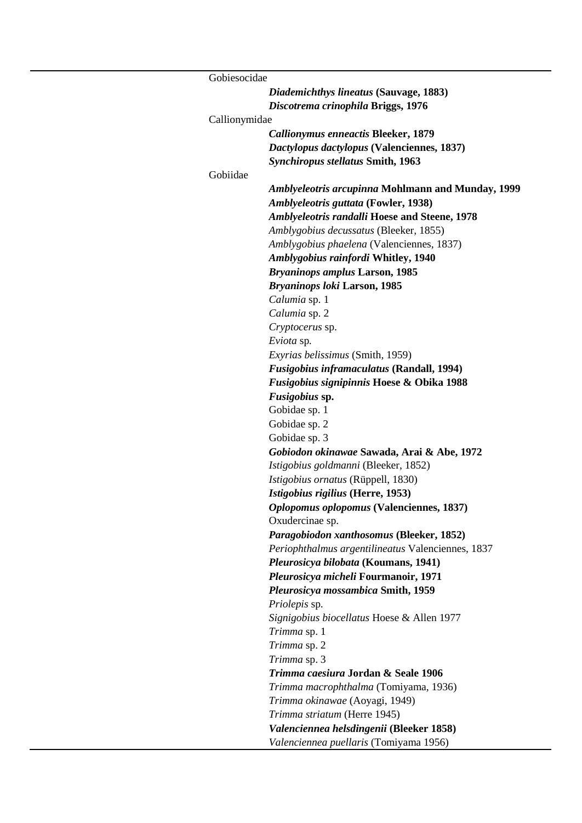| Gobiesocidae  |                                                      |
|---------------|------------------------------------------------------|
|               | Diademichthys lineatus (Sauvage, 1883)               |
|               | Discotrema crinophila Briggs, 1976                   |
| Callionymidae |                                                      |
|               | <b>Callionymus enneactis Bleeker, 1879</b>           |
|               | Dactylopus dactylopus (Valenciennes, 1837)           |
|               | <b>Synchiropus stellatus Smith, 1963</b>             |
| Gobiidae      |                                                      |
|               | Amblyeleotris arcupinna Mohlmann and Munday, 1999    |
|               | Amblyeleotris guttata (Fowler, 1938)                 |
|               | <b>Amblyeleotris randalli Hoese and Steene, 1978</b> |
|               | Amblygobius decussatus (Bleeker, 1855)               |
|               | Amblygobius phaelena (Valenciennes, 1837)            |
|               | <b>Amblygobius rainfordi Whitley, 1940</b>           |
|               | <b>Bryaninops amplus Larson, 1985</b>                |
|               | <b>Bryaninops loki Larson, 1985</b>                  |
|               | Calumia sp. 1                                        |
|               | Calumia sp. 2                                        |
|               | Cryptocerus sp.                                      |
|               | Eviota sp.                                           |
|               | Exyrias belissimus (Smith, 1959)                     |
|               | <b>Fusigobius inframaculatus (Randall, 1994)</b>     |
|               | <b>Fusigobius signipinnis Hoese &amp; Obika 1988</b> |
|               | Fusigobius sp.                                       |
|               | Gobidae sp. 1                                        |
|               | Gobidae sp. 2                                        |
|               | Gobidae sp. 3                                        |
|               | Gobiodon okinawae Sawada, Arai & Abe, 1972           |
|               | Istigobius goldmanni (Bleeker, 1852)                 |
|               | Istigobius ornatus (Rüppell, 1830)                   |
|               | Istigobius rigilius (Herre, 1953)                    |
|               | Oplopomus oplopomus (Valenciennes, 1837)             |
|               | Oxudercinae sp.                                      |
|               | Paragobiodon xanthosomus (Bleeker, 1852)             |
|               | Periophthalmus argentilineatus Valenciennes, 1837    |
|               | Pleurosicya bilobata (Koumans, 1941)                 |
|               | Pleurosicya micheli Fourmanoir, 1971                 |
|               | Pleurosicya mossambica Smith, 1959                   |
|               | <i>Priolepis</i> sp.                                 |
|               | Signigobius biocellatus Hoese & Allen 1977           |
|               | Trimma sp. 1                                         |
|               | Trimma sp. 2                                         |
|               | Trimma sp. 3                                         |
|               | Trimma caesiura Jordan & Seale 1906                  |
|               | Trimma macrophthalma (Tomiyama, 1936)                |
|               | Trimma okinawae (Aoyagi, 1949)                       |
|               | Trimma striatum (Herre 1945)                         |
|               | Valenciennea helsdingenii (Bleeker 1858)             |
|               | Valenciennea puellaris (Tomiyama 1956)               |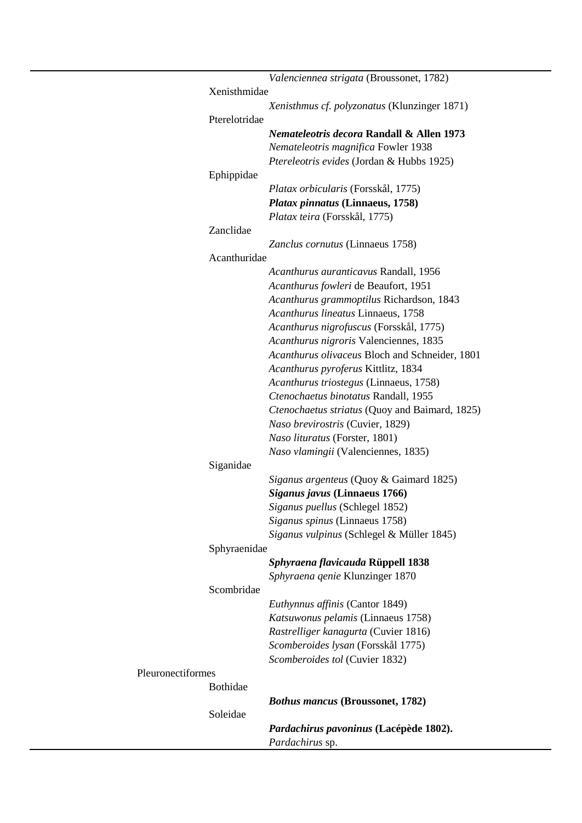|                   |               | Valenciennea strigata (Broussonet, 1782)                  |
|-------------------|---------------|-----------------------------------------------------------|
|                   | Xenisthmidae  |                                                           |
|                   |               | Xenisthmus cf. polyzonatus (Klunzinger 1871)              |
|                   | Pterelotridae |                                                           |
|                   |               | Nemateleotris decora Randall & Allen 1973                 |
|                   |               | Nemateleotris magnifica Fowler 1938                       |
|                   |               | Ptereleotris evides (Jordan & Hubbs 1925)                 |
|                   | Ephippidae    |                                                           |
|                   |               | Platax orbicularis (Forsskål, 1775)                       |
|                   |               | Platax pinnatus (Linnaeus, 1758)                          |
|                   |               | Platax teira (Forsskål, 1775)                             |
|                   | Zanclidae     |                                                           |
|                   |               | Zanclus cornutus (Linnaeus 1758)                          |
|                   | Acanthuridae  |                                                           |
|                   |               | Acanthurus auranticavus Randall, 1956                     |
|                   |               | Acanthurus fowleri de Beaufort, 1951                      |
|                   |               | Acanthurus grammoptilus Richardson, 1843                  |
|                   |               | Acanthurus lineatus Linnaeus, 1758                        |
|                   |               | Acanthurus nigrofuscus (Forsskål, 1775)                   |
|                   |               | Acanthurus nigroris Valenciennes, 1835                    |
|                   |               | Acanthurus olivaceus Bloch and Schneider, 1801            |
|                   |               | Acanthurus pyroferus Kittlitz, 1834                       |
|                   |               | Acanthurus triostegus (Linnaeus, 1758)                    |
|                   |               | Ctenochaetus binotatus Randall, 1955                      |
|                   |               | Ctenochaetus striatus (Quoy and Baimard, 1825)            |
|                   |               | Naso brevirostris (Cuvier, 1829)                          |
|                   |               | Naso lituratus (Forster, 1801)                            |
|                   |               | Naso vlamingii (Valenciennes, 1835)                       |
|                   | Siganidae     |                                                           |
|                   |               | Siganus argenteus (Quoy & Gaimard 1825)                   |
|                   |               | Siganus javus (Linnaeus 1766)                             |
|                   |               | Siganus puellus (Schlegel 1852)                           |
|                   |               | Siganus spinus (Linnaeus 1758)                            |
|                   |               | Siganus vulpinus (Schlegel & Müller 1845)                 |
|                   | Sphyraenidae  |                                                           |
|                   |               | Sphyraena flavicauda Rüppell 1838                         |
|                   |               | Sphyraena genie Klunzinger 1870                           |
|                   | Scombridae    |                                                           |
|                   |               | Euthynnus affinis (Cantor 1849)                           |
|                   |               | Katsuwonus pelamis (Linnaeus 1758)                        |
|                   |               | Rastrelliger kanagurta (Cuvier 1816)                      |
|                   |               | Scomberoides lysan (Forsskål 1775)                        |
|                   |               | Scomberoides tol (Cuvier 1832)                            |
| Pleuronectiformes |               |                                                           |
|                   | Bothidae      |                                                           |
|                   |               | <b>Bothus mancus (Broussonet, 1782)</b>                   |
|                   | Soleidae      |                                                           |
|                   |               | Pardachirus pavoninus (Lacépède 1802).<br>Pardachirus sp. |
|                   |               |                                                           |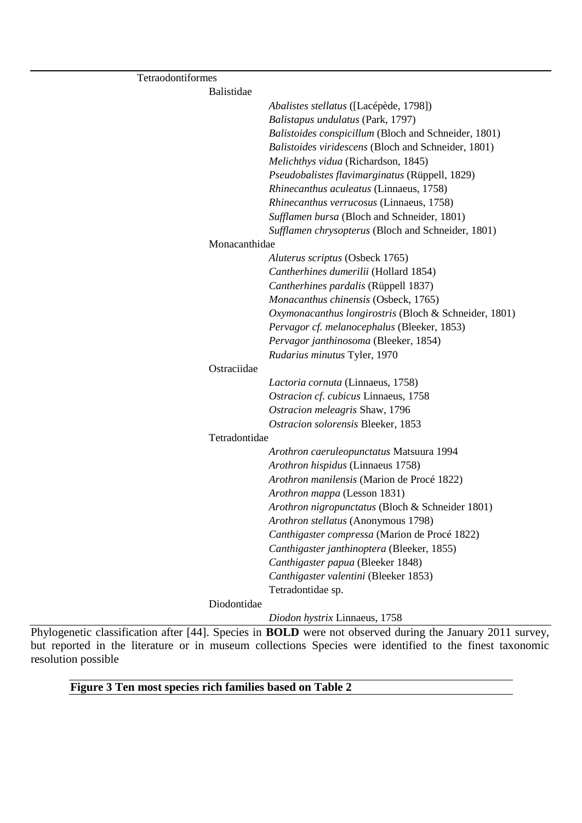| Tetraodontiformes |                                                       |  |
|-------------------|-------------------------------------------------------|--|
| Balistidae        |                                                       |  |
|                   | Abalistes stellatus ([Lacépède, 1798])                |  |
|                   | Balistapus undulatus (Park, 1797)                     |  |
|                   | Balistoides conspicillum (Bloch and Schneider, 1801)  |  |
|                   | Balistoides viridescens (Bloch and Schneider, 1801)   |  |
|                   | Melichthys vidua (Richardson, 1845)                   |  |
|                   | Pseudobalistes flavimarginatus (Rüppell, 1829)        |  |
|                   | Rhinecanthus aculeatus (Linnaeus, 1758)               |  |
|                   | Rhinecanthus verrucosus (Linnaeus, 1758)              |  |
|                   | Sufflamen bursa (Bloch and Schneider, 1801)           |  |
|                   | Sufflamen chrysopterus (Bloch and Schneider, 1801)    |  |
| Monacanthidae     |                                                       |  |
|                   | Aluterus scriptus (Osbeck 1765)                       |  |
|                   | Cantherhines dumerilii (Hollard 1854)                 |  |
|                   | Cantherhines pardalis (Rüppell 1837)                  |  |
|                   | Monacanthus chinensis (Osbeck, 1765)                  |  |
|                   | Oxymonacanthus longirostris (Bloch & Schneider, 1801) |  |
|                   | Pervagor cf. melanocephalus (Bleeker, 1853)           |  |
|                   | Pervagor janthinosoma (Bleeker, 1854)                 |  |
|                   | Rudarius minutus Tyler, 1970                          |  |
| Ostraciidae       |                                                       |  |
|                   | Lactoria cornuta (Linnaeus, 1758)                     |  |
|                   | Ostracion cf. cubicus Linnaeus, 1758                  |  |
|                   | Ostracion meleagris Shaw, 1796                        |  |
|                   | Ostracion solorensis Bleeker, 1853                    |  |
| Tetradontidae     |                                                       |  |
|                   | Arothron caeruleopunctatus Matsuura 1994              |  |
|                   | Arothron hispidus (Linnaeus 1758)                     |  |
|                   | Arothron manilensis (Marion de Procé 1822)            |  |
|                   | Arothron mappa (Lesson 1831)                          |  |
|                   | Arothron nigropunctatus (Bloch & Schneider 1801)      |  |
|                   | Arothron stellatus (Anonymous 1798)                   |  |
|                   | Canthigaster compressa (Marion de Procé 1822)         |  |
|                   | Canthigaster janthinoptera (Bleeker, 1855)            |  |
|                   | Canthigaster papua (Bleeker 1848)                     |  |
|                   | Canthigaster valentini (Bleeker 1853)                 |  |
|                   | Tetradontidae sp.                                     |  |
| Diodontidae       |                                                       |  |
|                   | Diodon hystrix Linnaeus, 1758                         |  |

Phylogenetic classification after [44]. Species in **BOLD** were not observed during the January 2011 survey, but reported in the literature or in museum collections Species were identified to the finest taxonomic resolution possible

### **Figure 3 Ten most species rich families based on Table 2**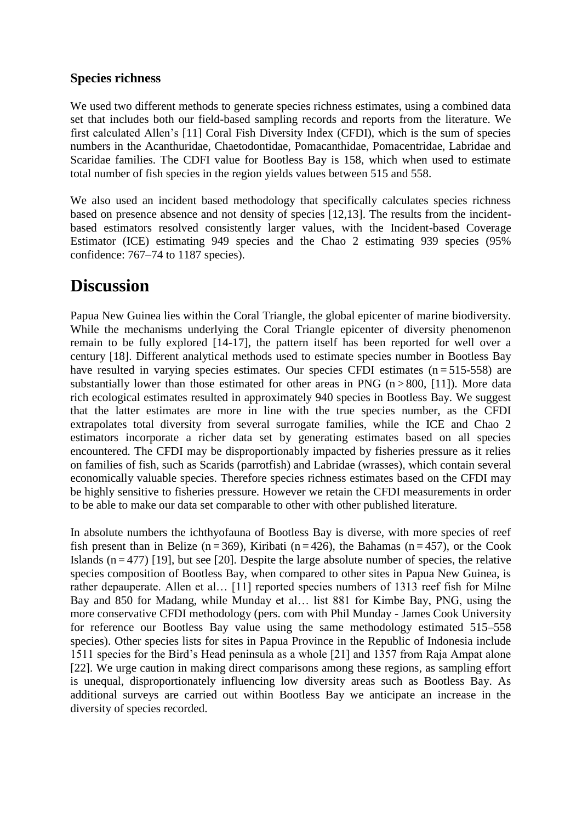#### **Species richness**

We used two different methods to generate species richness estimates, using a combined data set that includes both our field-based sampling records and reports from the literature. We first calculated Allen's [11] Coral Fish Diversity Index (CFDI), which is the sum of species numbers in the Acanthuridae, Chaetodontidae, Pomacanthidae, Pomacentridae, Labridae and Scaridae families. The CDFI value for Bootless Bay is 158, which when used to estimate total number of fish species in the region yields values between 515 and 558.

We also used an incident based methodology that specifically calculates species richness based on presence absence and not density of species [12,13]. The results from the incidentbased estimators resolved consistently larger values, with the Incident-based Coverage Estimator (ICE) estimating 949 species and the Chao 2 estimating 939 species (95% confidence: 767–74 to 1187 species).

## **Discussion**

Papua New Guinea lies within the Coral Triangle, the global epicenter of marine biodiversity. While the mechanisms underlying the Coral Triangle epicenter of diversity phenomenon remain to be fully explored [14-17], the pattern itself has been reported for well over a century [18]. Different analytical methods used to estimate species number in Bootless Bay have resulted in varying species estimates. Our species CFDI estimates  $(n=515-558)$  are substantially lower than those estimated for other areas in PNG ( $n > 800$ , [11]). More data rich ecological estimates resulted in approximately 940 species in Bootless Bay. We suggest that the latter estimates are more in line with the true species number, as the CFDI extrapolates total diversity from several surrogate families, while the ICE and Chao 2 estimators incorporate a richer data set by generating estimates based on all species encountered. The CFDI may be disproportionably impacted by fisheries pressure as it relies on families of fish, such as Scarids (parrotfish) and Labridae (wrasses), which contain several economically valuable species. Therefore species richness estimates based on the CFDI may be highly sensitive to fisheries pressure. However we retain the CFDI measurements in order to be able to make our data set comparable to other with other published literature.

In absolute numbers the ichthyofauna of Bootless Bay is diverse, with more species of reef fish present than in Belize (n = 369), Kiribati (n = 426), the Bahamas (n = 457), or the Cook Islands  $(n = 477)$  [19], but see [20]. Despite the large absolute number of species, the relative species composition of Bootless Bay, when compared to other sites in Papua New Guinea, is rather depauperate. Allen et al… [11] reported species numbers of 1313 reef fish for Milne Bay and 850 for Madang, while Munday et al… list 881 for Kimbe Bay, PNG, using the more conservative CFDI methodology (pers. com with Phil Munday - James Cook University for reference our Bootless Bay value using the same methodology estimated 515–558 species). Other species lists for sites in Papua Province in the Republic of Indonesia include 1511 species for the Bird's Head peninsula as a whole [21] and 1357 from Raja Ampat alone [22]. We urge caution in making direct comparisons among these regions, as sampling effort is unequal, disproportionately influencing low diversity areas such as Bootless Bay. As additional surveys are carried out within Bootless Bay we anticipate an increase in the diversity of species recorded.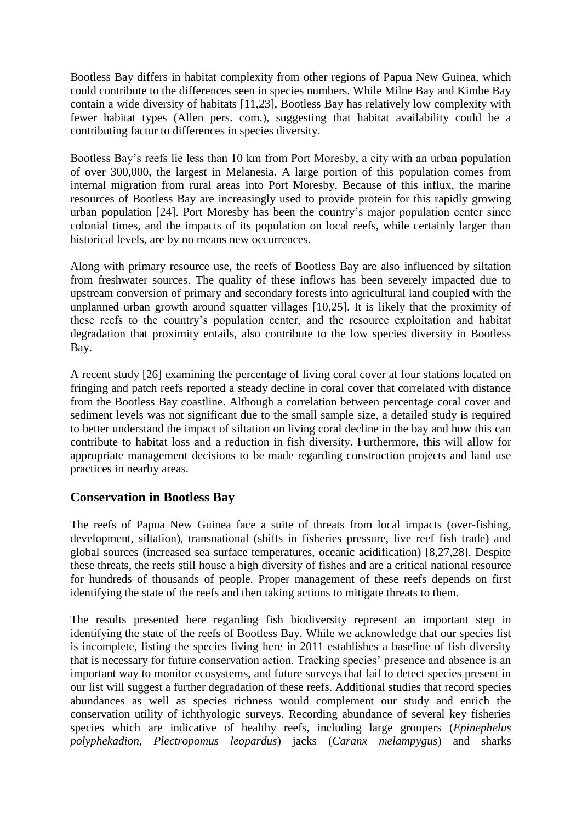Bootless Bay differs in habitat complexity from other regions of Papua New Guinea, which could contribute to the differences seen in species numbers. While Milne Bay and Kimbe Bay contain a wide diversity of habitats [11,23], Bootless Bay has relatively low complexity with fewer habitat types (Allen pers. com.), suggesting that habitat availability could be a contributing factor to differences in species diversity.

Bootless Bay's reefs lie less than 10 km from Port Moresby, a city with an urban population of over 300,000, the largest in Melanesia. A large portion of this population comes from internal migration from rural areas into Port Moresby. Because of this influx, the marine resources of Bootless Bay are increasingly used to provide protein for this rapidly growing urban population [24]. Port Moresby has been the country's major population center since colonial times, and the impacts of its population on local reefs, while certainly larger than historical levels, are by no means new occurrences.

Along with primary resource use, the reefs of Bootless Bay are also influenced by siltation from freshwater sources. The quality of these inflows has been severely impacted due to upstream conversion of primary and secondary forests into agricultural land coupled with the unplanned urban growth around squatter villages [10,25]. It is likely that the proximity of these reefs to the country's population center, and the resource exploitation and habitat degradation that proximity entails, also contribute to the low species diversity in Bootless Bay.

A recent study [26] examining the percentage of living coral cover at four stations located on fringing and patch reefs reported a steady decline in coral cover that correlated with distance from the Bootless Bay coastline. Although a correlation between percentage coral cover and sediment levels was not significant due to the small sample size, a detailed study is required to better understand the impact of siltation on living coral decline in the bay and how this can contribute to habitat loss and a reduction in fish diversity. Furthermore, this will allow for appropriate management decisions to be made regarding construction projects and land use practices in nearby areas.

#### **Conservation in Bootless Bay**

The reefs of Papua New Guinea face a suite of threats from local impacts (over-fishing, development, siltation), transnational (shifts in fisheries pressure, live reef fish trade) and global sources (increased sea surface temperatures, oceanic acidification) [8,27,28]. Despite these threats, the reefs still house a high diversity of fishes and are a critical national resource for hundreds of thousands of people. Proper management of these reefs depends on first identifying the state of the reefs and then taking actions to mitigate threats to them.

The results presented here regarding fish biodiversity represent an important step in identifying the state of the reefs of Bootless Bay. While we acknowledge that our species list is incomplete, listing the species living here in 2011 establishes a baseline of fish diversity that is necessary for future conservation action. Tracking species' presence and absence is an important way to monitor ecosystems, and future surveys that fail to detect species present in our list will suggest a further degradation of these reefs. Additional studies that record species abundances as well as species richness would complement our study and enrich the conservation utility of ichthyologic surveys. Recording abundance of several key fisheries species which are indicative of healthy reefs, including large groupers (*Epinephelus polyphekadion, Plectropomus leopardus*) jacks (*Caranx melampygus*) and sharks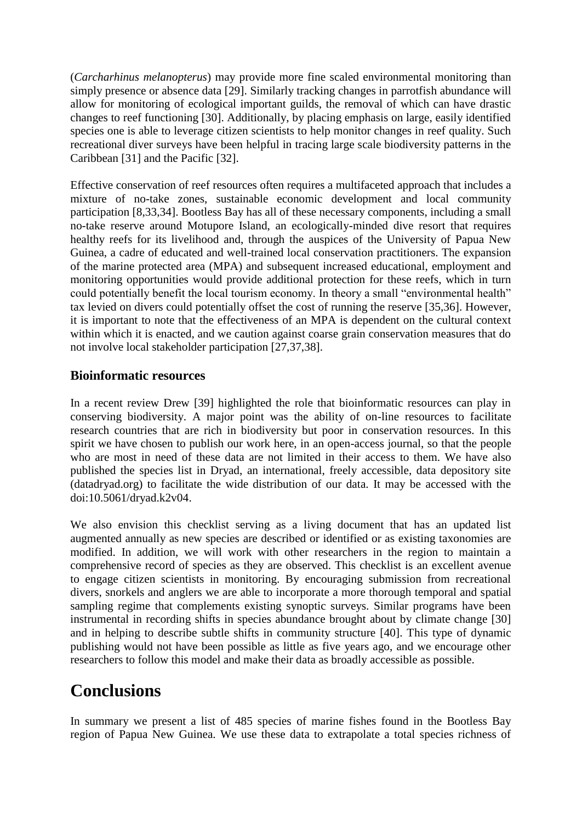(*Carcharhinus melanopterus*) may provide more fine scaled environmental monitoring than simply presence or absence data [29]. Similarly tracking changes in parrotfish abundance will allow for monitoring of ecological important guilds, the removal of which can have drastic changes to reef functioning [30]. Additionally, by placing emphasis on large, easily identified species one is able to leverage citizen scientists to help monitor changes in reef quality. Such recreational diver surveys have been helpful in tracing large scale biodiversity patterns in the Caribbean [31] and the Pacific [32].

Effective conservation of reef resources often requires a multifaceted approach that includes a mixture of no-take zones, sustainable economic development and local community participation [8,33,34]. Bootless Bay has all of these necessary components, including a small no-take reserve around Motupore Island, an ecologically-minded dive resort that requires healthy reefs for its livelihood and, through the auspices of the University of Papua New Guinea, a cadre of educated and well-trained local conservation practitioners. The expansion of the marine protected area (MPA) and subsequent increased educational, employment and monitoring opportunities would provide additional protection for these reefs, which in turn could potentially benefit the local tourism economy. In theory a small "environmental health" tax levied on divers could potentially offset the cost of running the reserve [35,36]. However, it is important to note that the effectiveness of an MPA is dependent on the cultural context within which it is enacted, and we caution against coarse grain conservation measures that do not involve local stakeholder participation [27,37,38].

#### **Bioinformatic resources**

In a recent review Drew [39] highlighted the role that bioinformatic resources can play in conserving biodiversity. A major point was the ability of on-line resources to facilitate research countries that are rich in biodiversity but poor in conservation resources. In this spirit we have chosen to publish our work here, in an open-access journal, so that the people who are most in need of these data are not limited in their access to them. We have also published the species list in Dryad, an international, freely accessible, data depository site (datadryad.org) to facilitate the wide distribution of our data. It may be accessed with the doi:10.5061/dryad.k2v04.

We also envision this checklist serving as a living document that has an updated list augmented annually as new species are described or identified or as existing taxonomies are modified. In addition, we will work with other researchers in the region to maintain a comprehensive record of species as they are observed. This checklist is an excellent avenue to engage citizen scientists in monitoring. By encouraging submission from recreational divers, snorkels and anglers we are able to incorporate a more thorough temporal and spatial sampling regime that complements existing synoptic surveys. Similar programs have been instrumental in recording shifts in species abundance brought about by climate change [30] and in helping to describe subtle shifts in community structure [40]. This type of dynamic publishing would not have been possible as little as five years ago, and we encourage other researchers to follow this model and make their data as broadly accessible as possible.

## **Conclusions**

In summary we present a list of 485 species of marine fishes found in the Bootless Bay region of Papua New Guinea. We use these data to extrapolate a total species richness of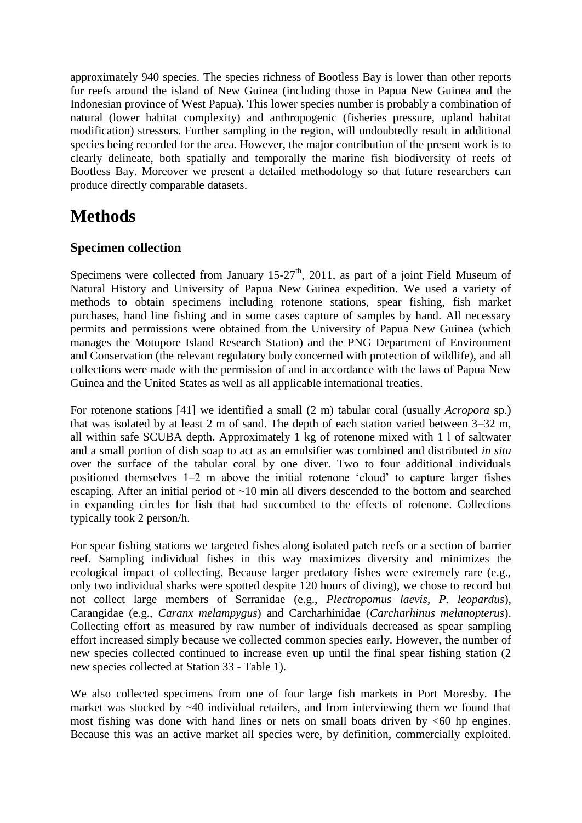approximately 940 species. The species richness of Bootless Bay is lower than other reports for reefs around the island of New Guinea (including those in Papua New Guinea and the Indonesian province of West Papua). This lower species number is probably a combination of natural (lower habitat complexity) and anthropogenic (fisheries pressure, upland habitat modification) stressors. Further sampling in the region, will undoubtedly result in additional species being recorded for the area. However, the major contribution of the present work is to clearly delineate, both spatially and temporally the marine fish biodiversity of reefs of Bootless Bay. Moreover we present a detailed methodology so that future researchers can produce directly comparable datasets.

## **Methods**

#### **Specimen collection**

Specimens were collected from January  $15-27<sup>th</sup>$ , 2011, as part of a joint Field Museum of Natural History and University of Papua New Guinea expedition. We used a variety of methods to obtain specimens including rotenone stations, spear fishing, fish market purchases, hand line fishing and in some cases capture of samples by hand. All necessary permits and permissions were obtained from the University of Papua New Guinea (which manages the Motupore Island Research Station) and the PNG Department of Environment and Conservation (the relevant regulatory body concerned with protection of wildlife), and all collections were made with the permission of and in accordance with the laws of Papua New Guinea and the United States as well as all applicable international treaties.

For rotenone stations [41] we identified a small (2 m) tabular coral (usually *Acropora* sp.) that was isolated by at least 2 m of sand. The depth of each station varied between 3–32 m, all within safe SCUBA depth. Approximately 1 kg of rotenone mixed with 1 l of saltwater and a small portion of dish soap to act as an emulsifier was combined and distributed *in situ* over the surface of the tabular coral by one diver. Two to four additional individuals positioned themselves 1–2 m above the initial rotenone 'cloud' to capture larger fishes escaping. After an initial period of  $\sim 10$  min all divers descended to the bottom and searched in expanding circles for fish that had succumbed to the effects of rotenone. Collections typically took 2 person/h.

For spear fishing stations we targeted fishes along isolated patch reefs or a section of barrier reef. Sampling individual fishes in this way maximizes diversity and minimizes the ecological impact of collecting. Because larger predatory fishes were extremely rare (e.g., only two individual sharks were spotted despite 120 hours of diving), we chose to record but not collect large members of Serranidae (e.g., *Plectropomus laevis, P. leopardus*), Carangidae (e.g., *Caranx melampygus*) and Carcharhinidae (*Carcharhinus melanopterus*). Collecting effort as measured by raw number of individuals decreased as spear sampling effort increased simply because we collected common species early. However, the number of new species collected continued to increase even up until the final spear fishing station (2 new species collected at Station 33 - Table 1).

We also collected specimens from one of four large fish markets in Port Moresby. The market was stocked by  $~40$  individual retailers, and from interviewing them we found that most fishing was done with hand lines or nets on small boats driven by <60 hp engines. Because this was an active market all species were, by definition, commercially exploited.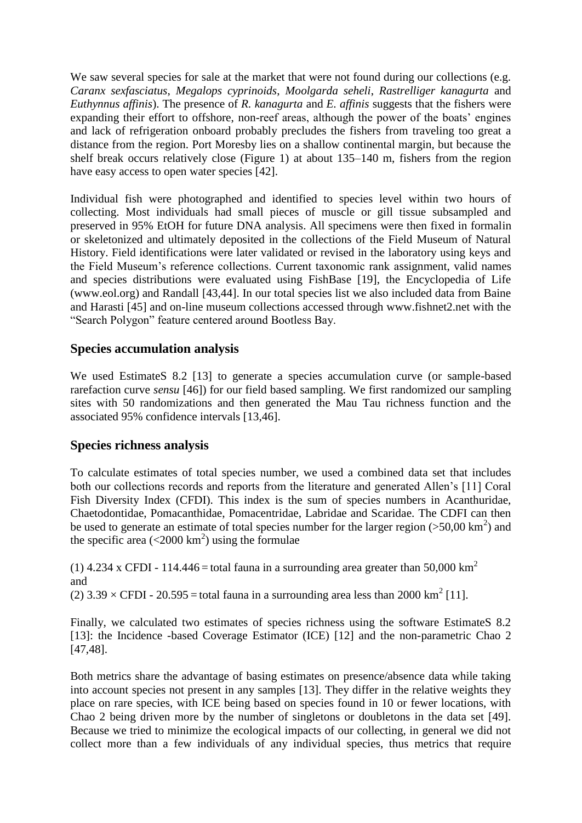We saw several species for sale at the market that were not found during our collections (e.g. *Caranx sexfasciatus*, *Megalops cyprinoids*, *Moolgarda seheli*, *Rastrelliger kanagurta* and *Euthynnus affinis*). The presence of *R. kanagurta* and *E. affinis* suggests that the fishers were expanding their effort to offshore, non-reef areas, although the power of the boats' engines and lack of refrigeration onboard probably precludes the fishers from traveling too great a distance from the region. Port Moresby lies on a shallow continental margin, but because the shelf break occurs relatively close (Figure 1) at about 135–140 m, fishers from the region have easy access to open water species [42].

Individual fish were photographed and identified to species level within two hours of collecting. Most individuals had small pieces of muscle or gill tissue subsampled and preserved in 95% EtOH for future DNA analysis. All specimens were then fixed in formalin or skeletonized and ultimately deposited in the collections of the Field Museum of Natural History. Field identifications were later validated or revised in the laboratory using keys and the Field Museum's reference collections. Current taxonomic rank assignment, valid names and species distributions were evaluated using FishBase [19], the Encyclopedia of Life (www.eol.org) and Randall [43,44]. In our total species list we also included data from Baine and Harasti [45] and on-line museum collections accessed through www.fishnet2.net with the "Search Polygon" feature centered around Bootless Bay.

#### **Species accumulation analysis**

We used EstimateS 8.2 [13] to generate a species accumulation curve (or sample-based rarefaction curve *sensu* [46]) for our field based sampling. We first randomized our sampling sites with 50 randomizations and then generated the Mau Tau richness function and the associated 95% confidence intervals [13,46].

#### **Species richness analysis**

To calculate estimates of total species number, we used a combined data set that includes both our collections records and reports from the literature and generated Allen's [11] Coral Fish Diversity Index (CFDI). This index is the sum of species numbers in Acanthuridae, Chaetodontidae, Pomacanthidae, Pomacentridae, Labridae and Scaridae. The CDFI can then be used to generate an estimate of total species number for the larger region  $(>50,00 \text{ km}^2)$  and the specific area  $(<2000 \text{ km}^2$ ) using the formulae

(1) 4.234 x CFDI - 114.446 = total fauna in a surrounding area greater than 50,000 km<sup>2</sup> and

(2)  $3.39 \times \text{CFDI} - 20.595 = \text{total fauna in a surrounding area less than } 2000 \text{ km}^2$  [11].

Finally, we calculated two estimates of species richness using the software EstimateS 8.2 [13]: the Incidence -based Coverage Estimator (ICE) [12] and the non-parametric Chao 2 [47,48].

Both metrics share the advantage of basing estimates on presence/absence data while taking into account species not present in any samples [13]. They differ in the relative weights they place on rare species, with ICE being based on species found in 10 or fewer locations, with Chao 2 being driven more by the number of singletons or doubletons in the data set [49]. Because we tried to minimize the ecological impacts of our collecting, in general we did not collect more than a few individuals of any individual species, thus metrics that require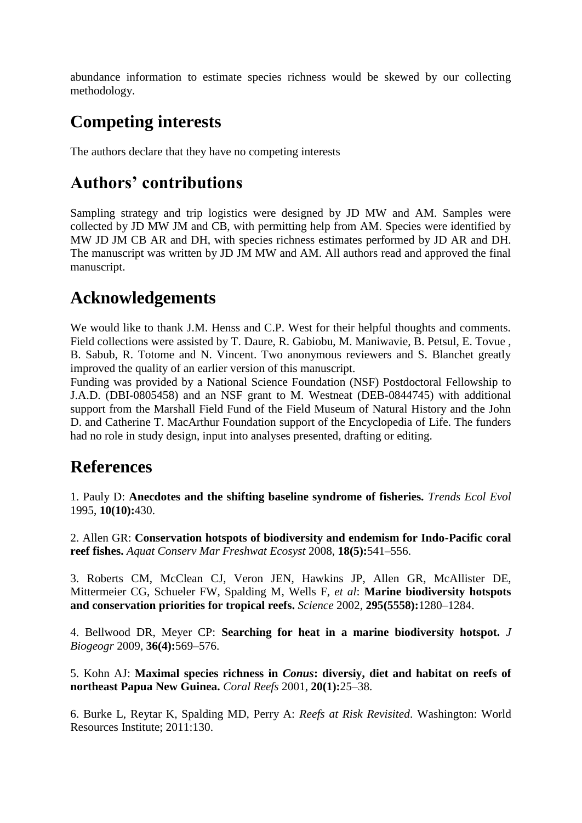abundance information to estimate species richness would be skewed by our collecting methodology.

# **Competing interests**

The authors declare that they have no competing interests

## **Authors' contributions**

Sampling strategy and trip logistics were designed by JD MW and AM. Samples were collected by JD MW JM and CB, with permitting help from AM. Species were identified by MW JD JM CB AR and DH, with species richness estimates performed by JD AR and DH. The manuscript was written by JD JM MW and AM. All authors read and approved the final manuscript.

### **Acknowledgements**

We would like to thank J.M. Henss and C.P. West for their helpful thoughts and comments. Field collections were assisted by T. Daure, R. Gabiobu, M. Maniwavie, B. Petsul, E. Tovue , B. Sabub, R. Totome and N. Vincent. Two anonymous reviewers and S. Blanchet greatly improved the quality of an earlier version of this manuscript.

Funding was provided by a National Science Foundation (NSF) Postdoctoral Fellowship to J.A.D. (DBI-0805458) and an NSF grant to M. Westneat (DEB-0844745) with additional support from the Marshall Field Fund of the Field Museum of Natural History and the John D. and Catherine T. MacArthur Foundation support of the Encyclopedia of Life. The funders had no role in study design, input into analyses presented, drafting or editing.

## **References**

1. Pauly D: **Anecdotes and the shifting baseline syndrome of fisheries.** *Trends Ecol Evol* 1995, **10(10):**430.

2. Allen GR: **Conservation hotspots of biodiversity and endemism for Indo-Pacific coral reef fishes.** *Aquat Conserv Mar Freshwat Ecosyst* 2008, **18(5):**541–556.

3. Roberts CM, McClean CJ, Veron JEN, Hawkins JP, Allen GR, McAllister DE, Mittermeier CG, Schueler FW, Spalding M, Wells F, *et al*: **Marine biodiversity hotspots and conservation priorities for tropical reefs.** *Science* 2002, **295(5558):**1280–1284.

4. Bellwood DR, Meyer CP: **Searching for heat in a marine biodiversity hotspot.** *J Biogeogr* 2009, **36(4):**569–576.

5. Kohn AJ: **Maximal species richness in** *Conus***: diversiy, diet and habitat on reefs of northeast Papua New Guinea.** *Coral Reefs* 2001, **20(1):**25–38.

6. Burke L, Reytar K, Spalding MD, Perry A: *Reefs at Risk Revisited*. Washington: World Resources Institute; 2011:130.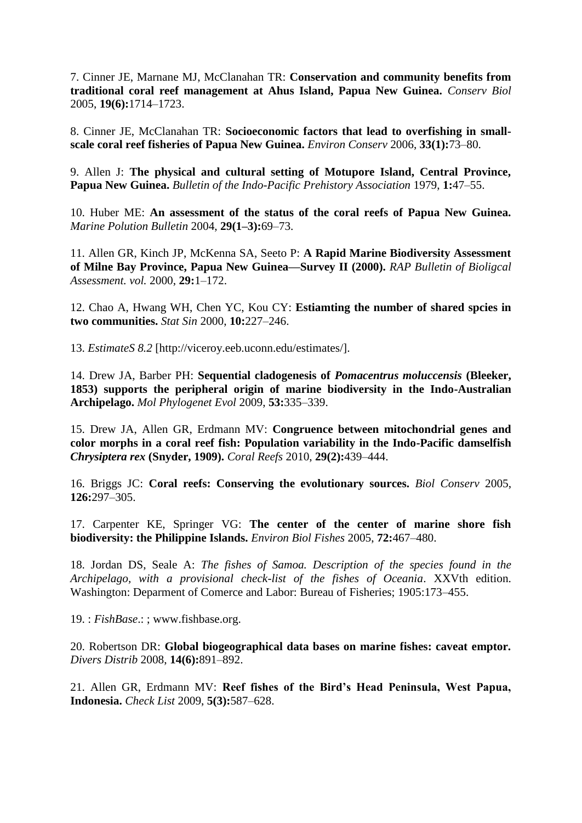7. Cinner JE, Marnane MJ, McClanahan TR: **Conservation and community benefits from traditional coral reef management at Ahus Island, Papua New Guinea.** *Conserv Biol* 2005, **19(6):**1714–1723.

8. Cinner JE, McClanahan TR: **Socioeconomic factors that lead to overfishing in smallscale coral reef fisheries of Papua New Guinea.** *Environ Conserv* 2006, **33(1):**73–80.

9. Allen J: **The physical and cultural setting of Motupore Island, Central Province, Papua New Guinea.** *Bulletin of the Indo-Pacific Prehistory Association* 1979, **1:**47–55.

10. Huber ME: **An assessment of the status of the coral reefs of Papua New Guinea.** *Marine Polution Bulletin* 2004, **29(1–3):**69–73.

11. Allen GR, Kinch JP, McKenna SA, Seeto P: **A Rapid Marine Biodiversity Assessment of Milne Bay Province, Papua New Guinea—Survey II (2000).** *RAP Bulletin of Bioligcal Assessment. vol.* 2000, **29:**1–172.

12. Chao A, Hwang WH, Chen YC, Kou CY: **Estiamting the number of shared spcies in two communities.** *Stat Sin* 2000, **10:**227–246.

13. *EstimateS 8.2* [http://viceroy.eeb.uconn.edu/estimates/].

14. Drew JA, Barber PH: **Sequential cladogenesis of** *Pomacentrus moluccensis* **(Bleeker, 1853) supports the peripheral origin of marine biodiversity in the Indo-Australian Archipelago.** *Mol Phylogenet Evol* 2009, **53:**335–339.

15. Drew JA, Allen GR, Erdmann MV: **Congruence between mitochondrial genes and color morphs in a coral reef fish: Population variability in the Indo-Pacific damselfish** *Chrysiptera rex* **(Snyder, 1909).** *Coral Reefs* 2010, **29(2):**439–444.

16. Briggs JC: **Coral reefs: Conserving the evolutionary sources.** *Biol Conserv* 2005, **126:**297–305.

17. Carpenter KE, Springer VG: **The center of the center of marine shore fish biodiversity: the Philippine Islands.** *Environ Biol Fishes* 2005, **72:**467–480.

18. Jordan DS, Seale A: *The fishes of Samoa. Description of the species found in the Archipelago, with a provisional check-list of the fishes of Oceania*. XXVth edition. Washington: Deparment of Comerce and Labor: Bureau of Fisheries; 1905:173–455.

19. : *FishBase*.: ; www.fishbase.org.

20. Robertson DR: **Global biogeographical data bases on marine fishes: caveat emptor.** *Divers Distrib* 2008, **14(6):**891–892.

21. Allen GR, Erdmann MV: **Reef fishes of the Bird's Head Peninsula, West Papua, Indonesia.** *Check List* 2009, **5(3):**587–628.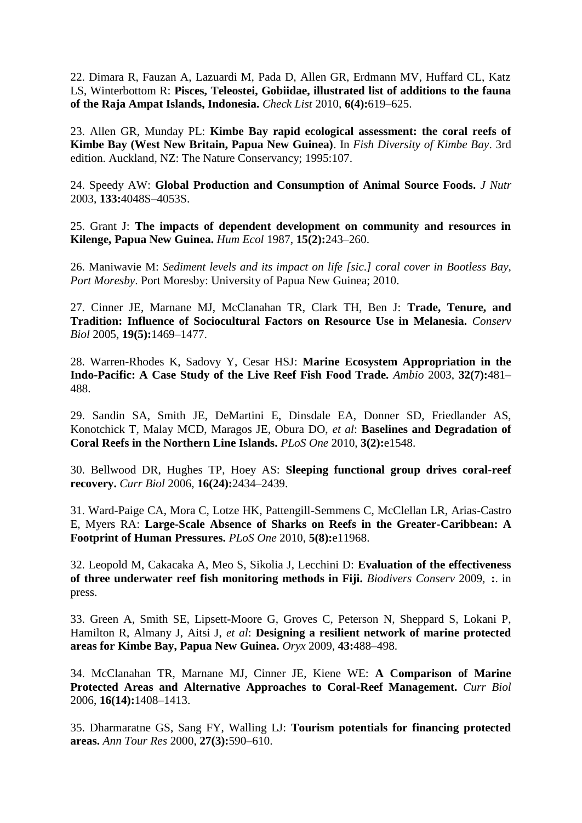22. Dimara R, Fauzan A, Lazuardi M, Pada D, Allen GR, Erdmann MV, Huffard CL, Katz LS, Winterbottom R: **Pisces, Teleostei, Gobiidae, illustrated list of additions to the fauna of the Raja Ampat Islands, Indonesia.** *Check List* 2010, **6(4):**619–625.

23. Allen GR, Munday PL: **Kimbe Bay rapid ecological assessment: the coral reefs of Kimbe Bay (West New Britain, Papua New Guinea)**. In *Fish Diversity of Kimbe Bay*. 3rd edition. Auckland, NZ: The Nature Conservancy; 1995:107.

24. Speedy AW: **Global Production and Consumption of Animal Source Foods.** *J Nutr* 2003, **133:**4048S–4053S.

25. Grant J: **The impacts of dependent development on community and resources in Kilenge, Papua New Guinea.** *Hum Ecol* 1987, **15(2):**243–260.

26. Maniwavie M: *Sediment levels and its impact on life [sic.] coral cover in Bootless Bay, Port Moresby*. Port Moresby: University of Papua New Guinea; 2010.

27. Cinner JE, Marnane MJ, McClanahan TR, Clark TH, Ben J: **Trade, Tenure, and Tradition: Influence of Sociocultural Factors on Resource Use in Melanesia.** *Conserv Biol* 2005, **19(5):**1469–1477.

28. Warren-Rhodes K, Sadovy Y, Cesar HSJ: **Marine Ecosystem Appropriation in the Indo-Pacific: A Case Study of the Live Reef Fish Food Trade.** *Ambio* 2003, **32(7):**481– 488.

29. Sandin SA, Smith JE, DeMartini E, Dinsdale EA, Donner SD, Friedlander AS, Konotchick T, Malay MCD, Maragos JE, Obura DO, *et al*: **Baselines and Degradation of Coral Reefs in the Northern Line Islands.** *PLoS One* 2010, **3(2):**e1548.

30. Bellwood DR, Hughes TP, Hoey AS: **Sleeping functional group drives coral-reef recovery.** *Curr Biol* 2006, **16(24):**2434–2439.

31. Ward-Paige CA, Mora C, Lotze HK, Pattengill-Semmens C, McClellan LR, Arias-Castro E, Myers RA: **Large-Scale Absence of Sharks on Reefs in the Greater-Caribbean: A Footprint of Human Pressures.** *PLoS One* 2010, **5(8):**e11968.

32. Leopold M, Cakacaka A, Meo S, Sikolia J, Lecchini D: **Evaluation of the effectiveness of three underwater reef fish monitoring methods in Fiji.** *Biodivers Conserv* 2009, **:**. in press.

33. Green A, Smith SE, Lipsett-Moore G, Groves C, Peterson N, Sheppard S, Lokani P, Hamilton R, Almany J, Aitsi J, *et al*: **Designing a resilient network of marine protected areas for Kimbe Bay, Papua New Guinea.** *Oryx* 2009, **43:**488–498.

34. McClanahan TR, Marnane MJ, Cinner JE, Kiene WE: **A Comparison of Marine Protected Areas and Alternative Approaches to Coral-Reef Management.** *Curr Biol* 2006, **16(14):**1408–1413.

35. Dharmaratne GS, Sang FY, Walling LJ: **Tourism potentials for financing protected areas.** *Ann Tour Res* 2000, **27(3):**590–610.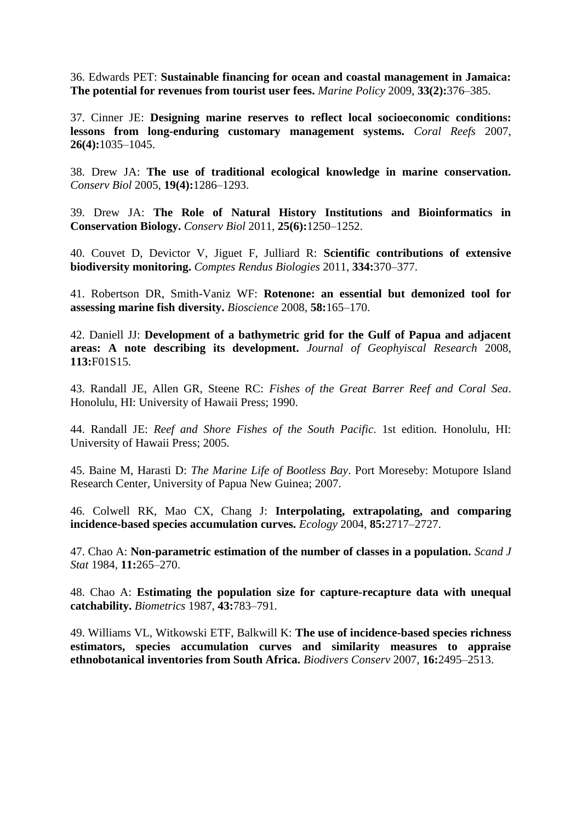36. Edwards PET: **Sustainable financing for ocean and coastal management in Jamaica: The potential for revenues from tourist user fees.** *Marine Policy* 2009, **33(2):**376–385.

37. Cinner JE: **Designing marine reserves to reflect local socioeconomic conditions: lessons from long-enduring customary management systems.** *Coral Reefs* 2007, **26(4):**1035–1045.

38. Drew JA: **The use of traditional ecological knowledge in marine conservation.** *Conserv Biol* 2005, **19(4):**1286–1293.

39. Drew JA: **The Role of Natural History Institutions and Bioinformatics in Conservation Biology.** *Conserv Biol* 2011, **25(6):**1250–1252.

40. Couvet D, Devictor V, Jiguet F, Julliard R: **Scientific contributions of extensive biodiversity monitoring.** *Comptes Rendus Biologies* 2011, **334:**370–377.

41. Robertson DR, Smith-Vaniz WF: **Rotenone: an essential but demonized tool for assessing marine fish diversity.** *Bioscience* 2008, **58:**165–170.

42. Daniell JJ: **Development of a bathymetric grid for the Gulf of Papua and adjacent areas: A note describing its development.** *Journal of Geophyiscal Research* 2008, **113:**F01S15.

43. Randall JE, Allen GR, Steene RC: *Fishes of the Great Barrer Reef and Coral Sea*. Honolulu, HI: University of Hawaii Press; 1990.

44. Randall JE: *Reef and Shore Fishes of the South Pacific*. 1st edition. Honolulu, HI: University of Hawaii Press; 2005.

45. Baine M, Harasti D: *The Marine Life of Bootless Bay*. Port Moreseby: Motupore Island Research Center, University of Papua New Guinea; 2007.

46. Colwell RK, Mao CX, Chang J: **Interpolating, extrapolating, and comparing incidence-based species accumulation curves.** *Ecology* 2004, **85:**2717–2727.

47. Chao A: **Non-parametric estimation of the number of classes in a population.** *Scand J Stat* 1984, **11:**265–270.

48. Chao A: **Estimating the population size for capture-recapture data with unequal catchability.** *Biometrics* 1987, **43:**783–791.

49. Williams VL, Witkowski ETF, Balkwill K: **The use of incidence-based species richness estimators, species accumulation curves and similarity measures to appraise ethnobotanical inventories from South Africa.** *Biodivers Conserv* 2007, **16:**2495–2513.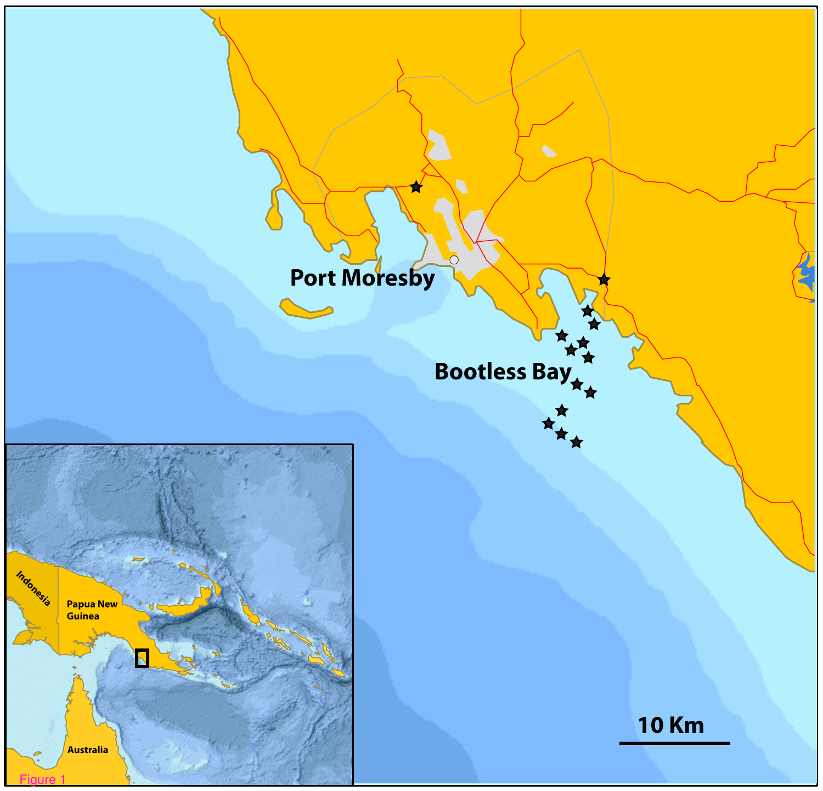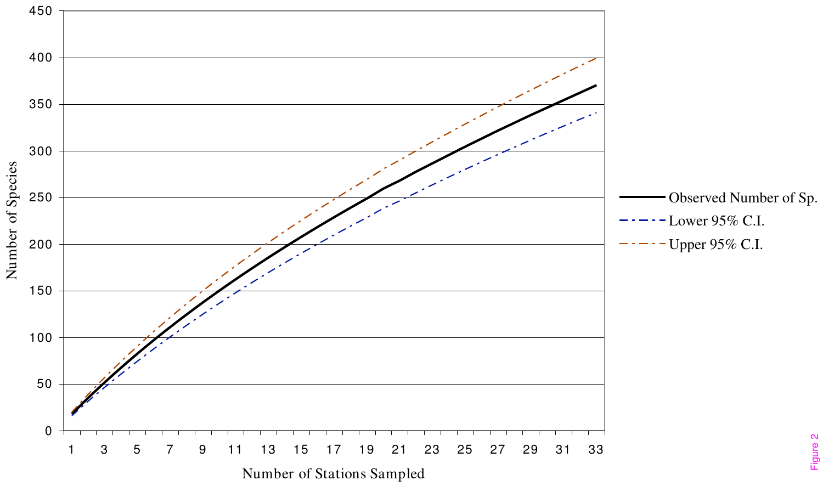